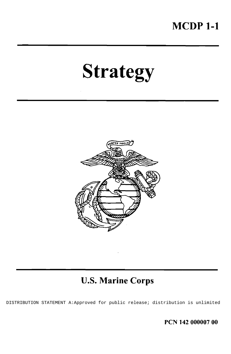## **MCDP 1-1**

# **Strategy**



## **U.S. Marine Corps**

DISTRIBUTION STATEMENT A:Approved for public release; distribution is unlimited

PCN 142 000007 00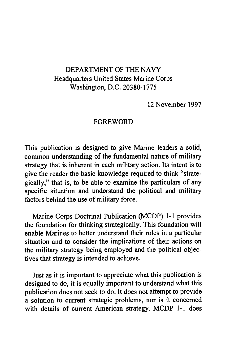### DEPARTMENT OF THE NAVY Headquarters United States Marine Corps Washington, D.C. 20380-1775

12 November 1997

#### FOREWORD

This publication is designed to give Marine leaders a solid, common understanding of the fundamental nature of military strategy that is inherent in each military action. Its intent is to give the reader the basic knowledge required to think "strategically," that is, to be able to examine the particulars of any specific situation and understand the political and military factors behind the use of military force.

Marine Corps Doctrinal Publication (MCDP) 1-1 provides the foundation for thinking strategically. This foundation will enable Marines to better understand their roles in a particular situation and to consider the implications of their actions on the military strategy being employed and the political objectives that strategy is intended to achieve.

Just as it is important to appreciate what this publication is designed to do, it is equally important to understand what this publication does not seek to do. It does not attempt to provide a solution to current strategic problems, nor is it concerned with details of current American strategy. MCDP 1-1 does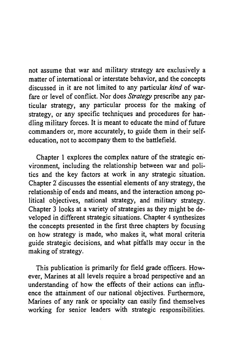not assume that war and military strategy are exclusively a matter of international or interstate behavior, and the concepts discussed in it are not limited to any particular kind of warfare or level of conflict. Nor does Strategy prescribe any particular strategy, any particular process for the making of strategy, or any specific techniques and procedures for handling military forces. It is meant to educate the mind of future commanders or, more accurately, to guide them in their selfeducation, not to accompany them to the battlefield.

Chapter 1 explores the complex nature of the strategic environment, including the relationship between war and politics and the key factors at work in any strategic situation. Chapter 2° discusses the essential elements of any strategy, the relationship of ends and means, and the interaction among political objectives, national strategy, and military strategy. Chapter 3 looks at a variety of strategies as they might be developed in different strategic situations. Chapter 4 synthesizes the concepts presented in the first three chapters by focusing on how strategy is made, who makes it, what moral criteria guide strategic decisions, and what pitfalls may occur in the making of strategy.

This publication is primarily for field grade officers. However, Marines at all levels require a broad perspective and an understanding of how the effects of their actions can influence the attainment of our national objectives. Furthermore, Marines of any rank or specialty can easily find themselves working for senior leaders with strategic responsibilities.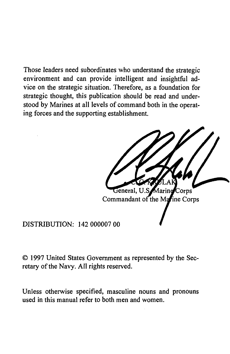Those leaders need subordinates who understand the strategic environment and can provide intelligent and insightful advice on the strategic situation. Therefore, as a foundation for strategic thought, this publication should be read and understood by Marines at all levels of command both in the operating forces and the supporting establishment.



© 1997 United States Government as represented by the Secretary of the Navy. All rights reserved.

Unless otherwise specified, masculine nouns and pronouns used in this manual refer to both men and women.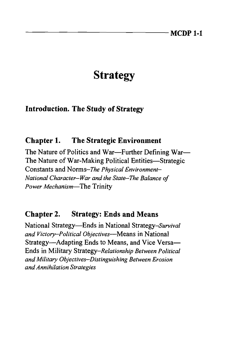# Strategy

### Introduction. The Study of Strategy

### Chapter 1. The Strategic Environment

The Nature of Politics and War—Further Defining War— The Nature of War-Making Political Entities—Strategic Constants and Norms—The Physical Environment— National Character—War and the State—The Balance of Power Mechanism—The Trinity

### Chapter 2. Strategy: Ends and Means

National Strategy—Ends in National Strategy—Survival and Victory—Political Objectives—Means in National Strategy—Adapting Ends to Means, and Vice Versa— Ends in Military Strategy—Relationship Between Political and Military Objectives—Distinguishing Between Erosion and Annihilation Strategies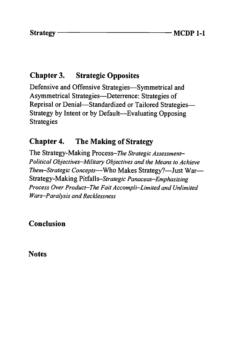## Chapter 3. Strategic Opposites

Defensive and Offensive Strategies—Symmetrical and Asymmetrical Strategies—Deterrence: Strategies of Reprisal or Denial—Standardized or Tailored Strategies— Strategy by Intent or by Default—Evaluating Opposing Strategies

## Chapter 4. The Making of Strategy

The Strategy-Making Process—The Strategic Assessment— Political Objectives—Military Objectives and the Means to Achieve Them—Strategic Concepts—Who Makes Strategy?—Just War— Strategy-Making Pitfalls—Strategic Panaceas—Emphasizing Process Over Product—The Fait Accompli—Limited and Unlimited Wars—Paralysis and Recklessness

Conclusion

Notes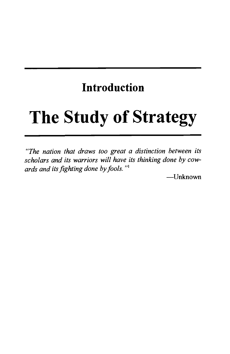# Introduction

# The Study of Strategy

"The nation that draws too great a distinction between its scholars and its warriors will have its thinking done by cowards and its fighting done by fools. "

 $-IJn$ known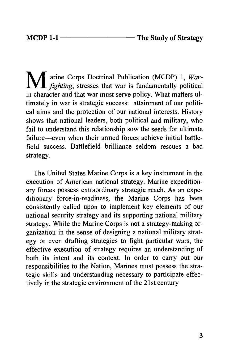$\prod$  arine Corps Doctrinal Publication (MCDP) 1, *War-*<br>is the *fighting*, stresses that war is fundamentally political in character and that war must serve policy. What matters ultimately in war is strategic success: attainment of our political aims and the protection of our national interests. History shows that national leaders, both political and military, who fail to understand this relationship sow the seeds for ultimate failure—even when their armed forces achieve initial battlefield success. Battlefield brilliance seldom rescues a bad strategy.

The United States Marine Corps is a key instrument in the execution of American national strategy. Marine expeditionary forces possess extraordinary strategic reach. As an expeditionary force-in-readiness, the Marine Corps has been consistently called upon to implement key elements of our national security strategy and its supporting national military strategy. While the Marine Corps is not a strategy-making organization in the sense of designing a national military strategy or even drafting strategies to fight particular wars, the effective execution of strategy requires an understanding of both its intent and its context. In order to carry out our responsibilities to the Nation, Marines must possess the strategic skills and understanding necessary to participate effectively in the strategic environment of the 21st century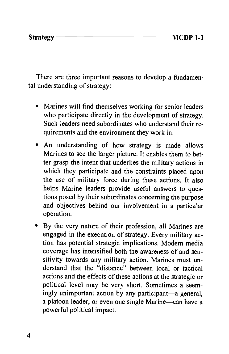There are three important reasons to develop a fundamental understanding of strategy:

- Marines will find themselves working for senior leaders who participate directly in the development of strategy. Such leaders need subordinates who understand their requirements and the environment they work in.
- An understanding of how strategy is made allows Marines to see the larger picture. It enables them to better grasp the intent that underlies the military actions in which they participate and the constraints placed upon the use of military force during these actions. It also helps Marine leaders provide useful answers to questions posed by their subordinates concerning the purpose and objectives behind our involvement in a particular operation.
- By the very nature of their profession, all Marines are engaged in the execution of strategy. Every military action has potential strategic implications. Modem media coverage has intensified both the awareness of and sensitivity towards any military action. Marines must understand that the "distance" between local or tactical actions and the effects of these actions at the strategic or political level may be very short. Sometimes a seemingly unimportant action by any participant—a general, a platoon leader, or even one single Marine—can have a powerful political impact.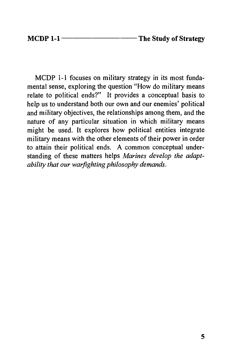MCDP 1-1 The Study of Strategy

MCDP 1-1 focuses on military strategy in its most fundamental sense, exploring the question "How do military means relate to political ends?" It provides a conceptual basis to help us to understand both our own and our enemies' political and military objectives, the relationships among them, and the nature of any particular situation in which military means might be used. It explores how political entities integrate military means with the other elements of their power in order to attain their political ends. A common conceptual understanding of these matters helps Marines develop the adaptability that our warfighting philosophy demands.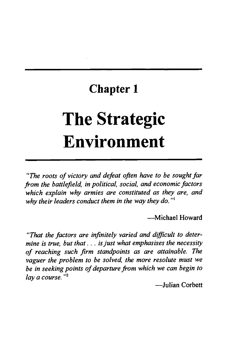# Chapter 1

# The Strategic Environment

"The roots of victory and defeat often have to be sought far from the battlefield, in political, social, and economic factors which explain why armies are constituted as they are, and why their leaders conduct them in the way they do."<sup>1</sup>

—Michael Howard

"That the factors are infinitely varied and difficult to determine is true, but that  $\ldots$  is just what emphasises the necessity of reaching such firm standpoints as are attainable. The vaguer the problem to be solved, the more resolute must we be in seeking points of departure from which we can begin to lay a course."<sup>2</sup>

—Julian Corbett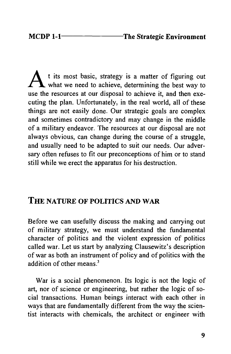$\Lambda$ <sup>t</sup> its most basic, strategy is a matter of figuring out what we need to achieve, determining the best way to what we need to achieve, determining the best way to use the resources at our disposal to achieve it, and then executing the plan. Unfortunately, in the real world, all of these things are not easily done. Our strategic goals are complex and sometimes contradictory and may change in the middle of a military endeavor. The resources at our disposal are not always obvious, can change during the course of a struggle, and usually need to be adapted to suit our needs. Our adversary often refuses to fit our preconceptions of him or to stand still while we erect the apparatus for his destruction.

### THE NATURE OF POLITICS AND WAR

Before we can usefully discuss the making and carrying out of military strategy, we must understand the fundamental character of politics and the violent expression of politics called war. Let us start by analyzing Clausewitz's description of war as both an instrument of policy and of politics with the addition of other means<sup>3</sup>

War is a social phenomenon. Its logic is not the logic of art, nor of science or engineering, but rather the logic of social transactions. Human beings interact with each other in ways that are fundamentally different from the way the scientist interacts with chemicals, the architect or engineer with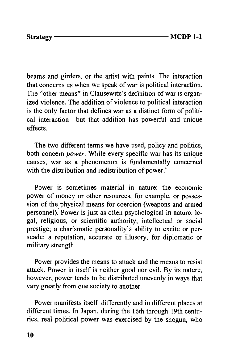beams and girders, or the artist with paints. The interaction that concerns us when we speak of war is political interaction. The "other means" in Clausewitz's definition of war is organized violence. The addition of violence to political interaction is the only factor that defines war as a distinct form of political interaction—but that addition has powerful and unique effects.

The two different terms we have used, policy and politics, both concern power. While every specific war has its unique causes, war as a phenomenon is fundamentally concerned with the distribution and redistribution of power.<sup>4</sup>

Power is sometimes material in nature: the economic power of money or other resources, for example, or possession of the physical means for coercion (weapons and armed personnel). Power is just as often psychological in nature: legal, religious, or scientific authority; intellectual or social prestige; a charismatic personality's ability to excite or persuade; a reputation, accurate or illusory, for diplomatic or military strength.

Power provides the means to attack and the means to resist attack. Power in itself is neither good nor evil. By its nature, however, power tends to be distributed unevenly in ways that vary greatly from one society to another.

Power manifests itself differently and in different places at different times. In Japan, during the 16th through 19th centuries, real political power was exercised by the shogun, who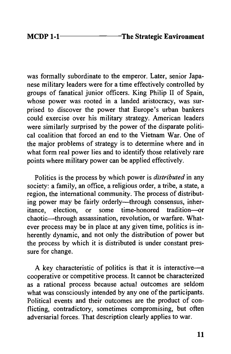was formally subordinate to the emperor. Later, senior Japanese military leaders were for a time effectively controlled by groups of fanatical junior officers. King Philip II of Spain, whose power was rooted in a landed aristocracy, was surprised to discover the power that Europe's urban bankers could exercise over his military strategy. American leaders were similarly surprised by the power of the disparate political coalition that forced an end to the Vietnam War. One of the major problems of strategy is to determine where and in what form real power lies and to identify those relatively rare points where military power can be applied effectively.

Politics is the process by which power is *distributed* in any society: a family, an office, a religious order, a tribe, a state, a region, the international community. The process of distributing power may be fairly orderly—through consensus, inheritance, election, or some time-honored tradition—or chaotic—through assassination, revolution, or warfare. Whatever process may be in place at any given time, politics is inherently dynamic, and not only the distribution of power but the process by which it is distributed is under constant pressure for change.

A key characteristic of politics is that it is interactive—a cooperative or competitive process. It cannot be characterized as a rational process because actual outcomes are seldom what was consciously intended by any one of the participants. Political events and their outcomes are the product of conflicting, contradictory, sometimes compromising, but often adversarial forces. That description clearly applies to war.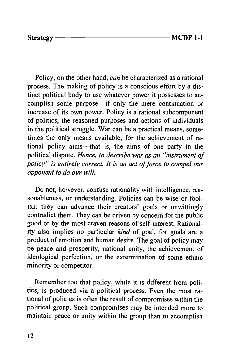Policy, on the other hand, can be characterized as a rational process. The making of policy is a conscious effort by a distinct political body to use whatever power it possesses to accomplish some purpose—if only the mere continuation or increase of its own power. Policy is a rational subcomponent of politics, the reasoned purposes and actions of individuals in the political struggle. War can be a practical means, sometimes the only means available, for the achievement of rational policy aims—that is, the aims of one party in the political dispute. Hence, to describe war as an "instrument of policy" is entirely correct. It is an act of force to compel our opponent to do our will.

Do not, however, confuse rationality with intelligence, reasonableness, or understanding. Policies can be wise or foolish: they can advance their creators' goals or unwittingly contradict them. They can be driven by concern for the public good or by the most craven reasons of self-interest. Rationality also implies no particular kind of goal, for goals are a product of emotion and human desire. The goal of policy may be peace and prosperity, national unity, the achievement of ideological perfection, or the extermination of some ethnic minority or competitor.

Remember too that policy, while it is different from politics, is produced via a political process. Even the most rational of policies is often the result of compromises within the political group. Such compromises may be intended more to maintain peace or unity within the group than to accomplish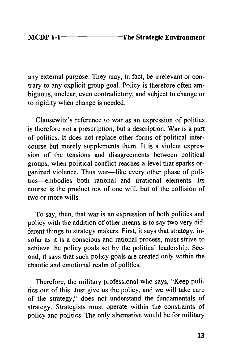any external purpose. They may, in fact, be irrelevant or contrary to any explicit group goal. Policy is therefore often ambiguous, unclear, even contradictory, and subject to change or to rigidity when change is needed.

Clausewitz's reference to war as an expression of politics is therefore not a prescription, but a description. War is a part of politics. It does not replace other forms of political intercourse but merely supplements them. It is a violent expression of the tensions and disagreements between political groups, when political conflict reaches a level that sparks organized violence. Thus war—like every other phase of politics—embodies both rational and irrational elements. Its course is the product not of one will, but of the collision of two or more wills.

To say, then, that war is an expression of both politics and policy with the addition of other means is to say two very different things to strategy makers. First, it says that strategy, insofar as it is a conscious and rational process, must strive to achieve the policy goals set by the political leadership. Second, it says that such policy goals are created only within the chaotic and emotional realm of politics.

Therefore, the military professional who says, "Keep politics out of this. Just give us the policy, and we will take care of the strategy," does not understand the fundamentals of strategy. Strategists must operate within the constraints of policy and politics. The only alternative would be for military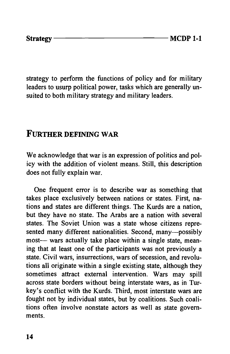strategy to perform the functions of policy and for military leaders to usurp political power, tasks which are generally unsuited to both military strategy and military leaders.

## FURTHER DEFINING WAR

We acknowledge that war is an expression of politics and policy with the addition of violent means. Still, this description does not fully explain war.

One frequent error is to describe war as something that takes place exclusively between nations or states. First, nations and states are different things. The Kurds are a nation, but they have no state. The Arabs are a nation with several states. The Soviet Union was a state whose citizens represented many different nationalities. Second, many—possibly most— wars actually take place within a single state, meaning that at least one of the participants was not previously a state. Civil wars, insurrections, wars of secession, and revolutions all originate within a single existing state, although they sometimes attract external intervention. Wars may spill across state borders without being interstate wars, as in Turkey's conflict with the Kurds. Third, most interstate wars are fought not by individual states, but by coalitions. Such coalitions often involve nonstate actors as well as state governments.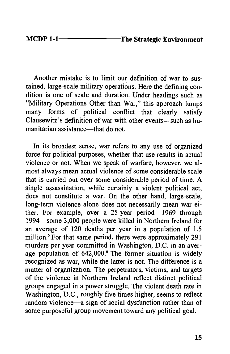Another mistake is to limit our definition of war to sustained, large-scale military operations. Here the defining condition is one of scale and duration. Under headings such as "Military Operations Other than War," this approach lumps many forms of political conflict that clearly satisfy Clausewitz's definition of war with other events—such as humanitarian assistance—that do not.

In its broadest sense, war refers to any use of organized force for political purposes, whether that use results in actual violence or not. When we speak of warfare, however, we almost always mean actual violence of some considerable scale that is carried out over some considerable period of time. A single assassination, while certainly a violent political act, does not constitute a war. On the other hand, large-scale, long-term violence alone does not necessarily mean war either. For example, over a 25-year period—1969 through 1994—some 3,000 people were killed in Northern Ireland for an average of 120 deaths per year in a population of 1.5 million.<sup>5</sup> For that same period, there were approximately 291 murders per year committed in Washington, D.C. in an average population of 642,000.<sup>6</sup> The former situation is widely recognized as war, while the latter is not. The difference is a matter of organization. The perpetrators, victims, and targets of the violence in Northern Ireland reflect distinct political groups engaged in a power struggle. The violent death rate in Washington, D.C., roughly five times higher, seems to reflect random violence—a sign of social dysfunction rather than of some purposeful group movement toward any political goal.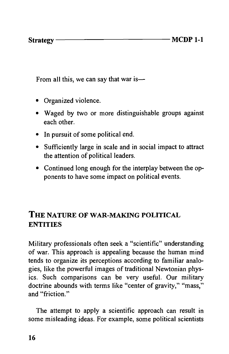From all this, we can say that war is—

- Organized violence.
- Waged by two or more distinguishable groups against each other.
- In pursuit of some political end.
- Sufficiently large in scale and in social impact to attract the attention of political leaders.
- Continued long enough for the interplay between the opponents to have some impact on political events.

## THE NATURE OF WAR-MAKING POLITICAL **ENTITIES**

Military professionals often seek a "scientific" understanding of war. This approach is appealing because the human mind tends to organize its perceptions according to familiar analogies, like the powerful images of traditional Newtonian physics. Such comparisons can be very useful. Our military doctrine abounds with terms like "center of gravity," "mass," and "friction."

The attempt to apply a scientific approach can result in some misleading ideas. For example, some political scientists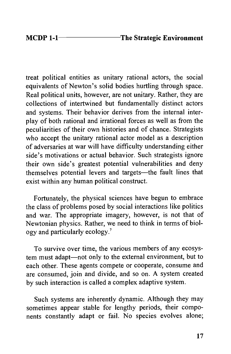treat political entities as unitary rational actors, the social equivalents of Newton's solid bodies hurtling through space. Real political units, however, are not unitary. Rather, they are collections of intertwined but fundamentally distinct actors and systems. Their behavior derives from the internal interplay of both rational and irrational forces as well as from the peculiarities of their own histories and of chance. Strategists who accept the unitary rational actor model as a description of adversaries at war will have difficulty understanding either side's motivations or actual behavior. Such strategists ignore their own side's greatest potential vulnerabilities and deny themselves potential levers and targets—the fault lines that exist within any human political construct.

Fortunately, the physical sciences have begun to embrace the class of problems posed by social interactions like politics and war. The appropriate imagery, however, is not that of Newtonian physics. Rather, we need to think in terms of biology and particularly ecology.7

To survive over time, the various members of any ecosystem must adapt—not only to the external environment, but to each other. These agents compete or cooperate, consume and are consumed, join and divide, and so on. A system created by such interaction is called a complex adaptive system.

Such systems are inherently dynamic. Although they may sometimes appear stable for lengthy periods, their components constantly adapt or fail. No species evolves alone;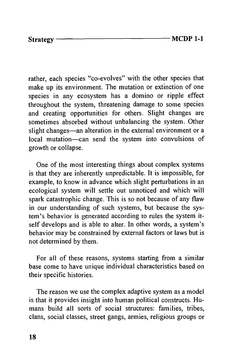rather, each species "co-evolves" with the other species that make up its environment. The mutation or extinction of one species in any ecosystem has a domino or ripple effect throughout the system, threatening damage to some species and creating opportunities for others. Slight changes are sometimes absorbed without unbalancing the system. Other slight changes—an alteration in the external environment or a local mutation—can send the system into convulsions of growth or collapse.

One of the most interesting things about complex systems is that they are inherently unpredictable. It is impossible, for example, to know in advance which slight perturbations in an ecological system will settle out unnoticed and which will spark catastrophic change. This is so not because of any flaw in our understanding of such systems, but because the system's behavior is generated according to rules the system itself develops and is able to alter. In other words, a system's behavior may be constrained by external factors or laws but is not determined by them.

For all of these reasons, systems starting from a similar base come to have unique individual characteristics based on their specific histories.

The reason we use the complex adaptive system as a model is that it provides insight into human political constructs. Humans build all sorts of social structures: families, tribes, clans, social classes, street gangs, armies, religious groups or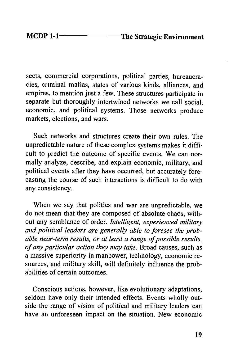sects, commercial corporations, political parties, bureaucracies, criminal mafias, states of various kinds, alliances, and empires, to mention just a few. These structures participate in separate but thoroughly intertwined networks we call social, economic, and political systems. Those networks produce markets, elections, and wars.

Such networks and structures create their own rules. The unpredictable nature of these complex systems makes it difficult to predict the outcome of specific events. We can normally analyze, describe, and explain economic, military, and political events after they have occurred, but accurately forecasting the course of such interactions is difficult to do with any consistency.

When we say that politics and war are unpredictable, we do not mean that they are composed of absolute chaos, without any semblance of order. Intelligent, experienced military and political leaders are generally able to foresee the probable near-term results, or at least a range of possible results, of any particular action they may take. Broad causes, such as a massive superiority in manpower, technology, economic resources, and military skill, will definitely influence the probabilities of certain outcomes.

Conscious actions, however, like evolutionary adaptations, seldom have only their intended effects. Events wholly outside the range of vision of political and military leaders can have an unforeseen impact on the situation. New economic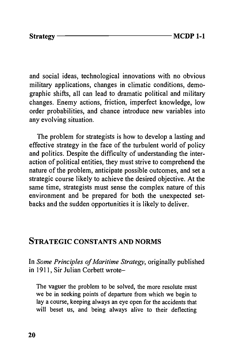and social ideas, technological innovations with no obvious military applications, changes in climatic conditions, demographic shifts, all can lead to dramatic political and military changes. Enemy actions, friction, imperfect knowledge, low order probabilities, and chance introduce new variables into any evolving situation.

The problem for strategists is how to develop a lasting and effective strategy in the face of the turbulent world of policy and politics. Despite the difficulty of understanding the interaction of political entities, they must strive to comprehend the nature of the problem, anticipate possible outcomes, and set a strategic course likely to achieve the desired objective. At the same time, strategists must sense the complex nature of this environment and be prepared for both the unexpected setbacks and the sudden opportunities it is likely to deliver.

### STRATEGIC CONSTANTS AND NORMS

In Some Principles of Maritime Strategy, originally published in 1911, Sir Julian Corbett wrote—

The vaguer the problem to be solved, the more resolute must we be in seeking points of departure from which we begin to lay a course, keeping always an eye open for the accidents that will beset us, and being always alive to their deflecting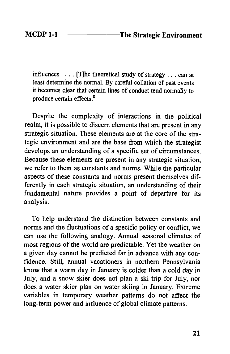influences . . . [T]he theoretical study of strategy . . . can at least determine the normal. By careful collation of past events it becomes clear that certain lines of conduct tend normally to produce certain effects.8

Despite the complexity of interactions in the political realm, it is possible to discern elements that are present in any strategic situation. These elements are at the core of the strategic environment and are the base from which the strategist develops an understanding of a specific set of circumstances. Because these elements are present in any strategic situation, we refer to them as constants and norms. While the particular aspects of these constants and norms present themselves differently in each strategic situation, an understanding of their fundamental nature provides a point of departure for its analysis.

To help understand the distinction between constants and norms and the fluctuations of a specific policy or conflict, we can use the following analogy. Annual seasonal climates of most regions of the world are predictable. Yet the weather on a given day cannot be predicted far in advance with any confidence. Still, annual vacationers in northern Pennsylvania know that a warm day in January is colder than a cold day in July, and a snow skier does not plan a ski trip for July, nor does a water skier plan on water skiing in January. Extreme variables in temporary weather patterns do not affect the long-term power and influence of global climate patterns.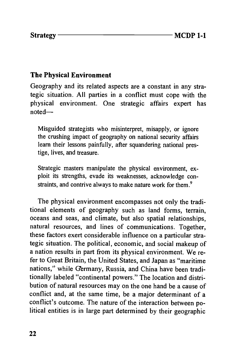### The Physical Environment

Geography and its related aspects are a constant in any strategic situation. All parties in a conflict must cope with the physical environment. One strategic affairs expert has noted—

Misguided strategists who misinterpret, misapply, or ignore the crushing impact of geography on national security affairs learn their lessons painfully, after squandering national prestige, lives, and treasure.

Strategic masters manipulate the physical environment, exploit its strengths, evade its weaknesses, acknowledge constraints, and contrive always to make nature work for them.<sup>9</sup>

The physical environment encompasses not only the traditional elements of geography such as land forms, terrain, oceans and seas, and climate, but also spatial relationships, natural resources, and lines of communications. Together, these factors exert considerable influence on a particular strategic situation. The political, economic, and social makeup of a nation results in part from its physical environment. We refer to Great Britain, the United States, and Japan as "maritime nations," while Germany, Russia, and China have been traditionally labeled "continental powers." The location and distribution of natural resources may on the one hand be a cause of conflict and, at the same time, be a major determinant of a conflict's outcome. The nature of the interaction between political entities is in large part determined by their geographic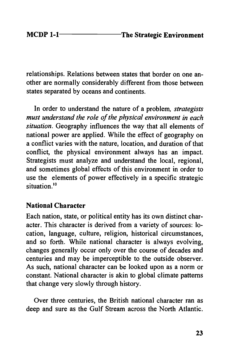relationships. Relations between states that border on one another are normally considerably different from those between states separated by oceans and continents.

In order to understand the nature of a problem, *strategists* must understand the role of the physical environment in each situation. Geography influences the way that all elements of national power are applied. While the effect of geography on a conflict varies with the nature, location, and duration of that conflict, the physical environment always has an impact. Strategists must analyze and understand the local, regional, and sometimes global effects of this environment in order to use the elements of power effectively in a specific strategic situation.<sup>10</sup>

#### National Character

Each nation, state, or political entity has its own distinct character. This character is derived from a variety of sources: location, language, culture, religion, historical circumstances, and so forth. While national character is always evolving, changes generally occur only over the course of decades and centuries and may be imperceptible to the outside observer. As such, national character can be looked upon as a norm or constant. National character is akin to global climate patterns that change very slowly through history.

Over three centuries, the British national character ran as deep and sure as the Gulf Stream across the North Atlantic.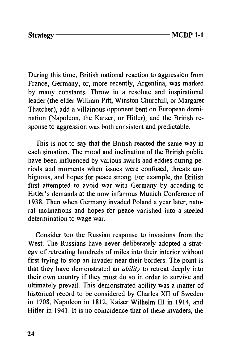During this time, British national reaction to aggression from France, Germany, or, more recently, Argentina, was marked by many constants. Throw in a resolute and inspirational leader (the elder William Pitt, Winston Churchill, or Margaret Thatcher), add a villainous opponent bent on European domination (Napoleon, the Kaiser, or Hitler), and the British response to aggression was both consistent and predictable.

This is not to say that the British reacted the same way in each situation. The mood and inclination of the British public have been influenced by various swirls and eddies during periods and moments when issues were confused, threats ambiguous, and hopes for peace strong. For example, the British first attempted to avoid war with Germany by acceding to Hitler's demands at the now infamous Munich Conference of 1938. Then when Germany invaded Poland a year later, natural inclinations and hopes for peace vanished into a steeled determination to wage war.

Consider too the Russian response to invasions from the West. The Russians have never deliberately adopted a strategy of retreating hundreds of miles into their interior without first trying to stop an invader near their borders. The point is that they have demonstrated an *ability* to retreat deeply into their own country if they must do so in order to survive and ultimately prevail. This demonstrated ability was a matter of historical record to be considered by Charles XII of Sweden in 1708, Napoleon in 1812, Kaiser Wilhelm III in 1914, and Hitler in 1941. It is no coincidence that of these invaders, the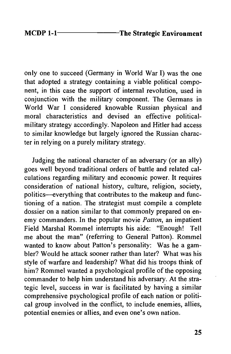only one to succeed (Germany in World War I) was the one that adopted a strategy containing a viable political component, in this case the support of internal revolution, used in conjunction with the military component. The Germans in World War I considered knowable Russian physical and moral characteristics and devised an effective politicalmilitary strategy accordingly. Napoleon and Hitler had access to similar knowledge but largely ignored the Russian character in relying on a purely military strategy.

Judging the national character of an adversary (or an ally) goes well beyond traditional orders of battle and related calculations regarding military and economic power. It requires consideration of national history, culture, religion, society, politics—everything that contributes to the makeup and functioning of a nation. The strategist must compile a complete dossier on a nation similar to that commonly prepared on enemy commanders. In the popular movie Patton, an impatient Field Marshal Rommel interrupts his aide: "Enough! Tell me about the man" (referring to General Patton). Rommel wanted to know about Patton's personality: Was he a gambler? Would he attack sooner rather than later? What was his style of warfare and leadership? What did his troops think of him? Rommel wanted a psychological profile of the opposing commander to help him understand his adversary. At the strategic level, success in war is facilitated by having a similar comprehensive psychological profile of each nation or political group involved in the conflict, to include enemies, allies, potential enemies or allies, and even one's own nation.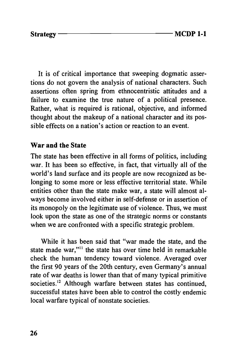It is of critical importance that sweeping dogmatic assertions do not govern the analysis of national characters. Such assertions often spring from ethnocentristic attitudes and a failure to examine the true nature of a political presence. Rather, what is required is rational, objective, and informed thought about the makeup of a national character and its possible effects on a nation's action or reaction to an event.

### War and the State

The state has been effective in all forms of politics, including war. It has been so effective, in fact, that virtually all of the world's land surface and its people are now recognized as belonging to some more or less effective territorial state. While entities other than the state make war, a state will almost always become involved either in self-defense or in assertion of its monopoly on the legitimate use of violence. Thus, we must look upon the state as one of the strategic norms or constants when we are confronted with a specific strategic problem.

While it has been said that "war made the state, and the state made war," $\frac{1}{1}$  the state has over time held in remarkable check the human tendency toward violence. Averaged over the first 90 years of the 20th century, even Germany's annual rate of war deaths is lower than that of many typical primitive societies.<sup>12</sup> Although warfare between states has continued, successful states have been able to control the costly endemic local warfare typical of nonstate societies.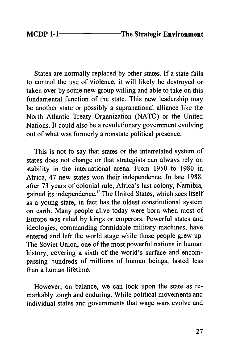States are normally replaced by other states. If a state fails to control the use of violence, it will likely be destroyed or taken over by some new group willing and able to take on this fundamental function of the state. This new leadership may be another state or possibly a supranational alliance like the North Atlantic Treaty Organization (NATO) or the United Nations. It could also be a revolutionary government evolving out of what was formerly a nonstate political presence.

This is not to say that states or the interrelated system of states does not change or that strategists can always rely on stability in the international arena. From 1950 to 1980 in Africa, 47 new states won their independence. In late 1988, after 73 years of colonial rule, Africa's last colony, Namibia, gained its independence.'3 The United States, which sees itself as a young state, in fact has the oldest constitutional system on earth. Many people alive today were born when most of Europe was ruled by kings or emperors. Powerful states and ideologies, commanding formidable military machines, have entered and left the world stage while those people grew up. The Soviet Union, one of the most powerful nations in human history, covering a sixth of the world's surface and encompassing hundreds of millions of human beings, lasted less than a human lifetime.

However, on balance, we can look upon the state as remarkably tough and enduring. While political movements and individual states and governments that wage wars evolve and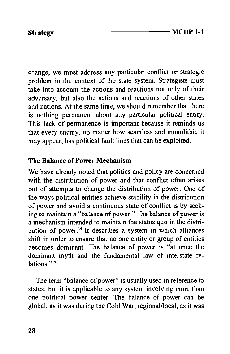change, we must address any particular conflict or strategic problem in the context of the state system. Strategists must take into account the actions and reactions not only of their adversary, but also the actions and reactions of other states and nations. At the same time, we should remember that there is nothing permanent about any particular political entity. This lack of permanence is important because it reminds us that every enemy, no matter how seamless and monolithic it may appear, has political fault lines that can be exploited.

### The Balance of Power Mechanism

We have already noted that politics and policy are concerned with the distribution of power and that conflict often arises out of attempts to change the distribution of power. One of the ways political entities achieve stability in the distribution of power and avoid a continuous state of conflict is by seeking to maintain a "balance of power." The balance of power is a mechanism intended to maintain the status quo in the distribution of power.'4 It describes a system in which alliances shift in order to ensure that no one entity or group of entities becomes dominant. The balance of power is "at once the dominant myth and the fundamental law of interstate relations."<sup>15</sup>

The term "balance of power" is usually used in reference to states, but it is applicable to any system involving more than one political power center. The balance of power can be global, as it was during the Cold War, regional/local, as it was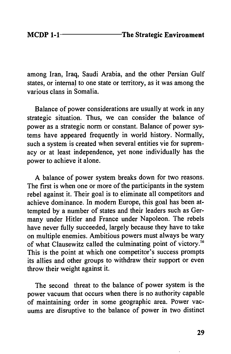among Iran, Iraq, Saudi Arabia, and the other Persian Gulf states, or internal to one state or territory, as it was among the various clans in Somalia.

Balance of power considerations are usually at work in any strategic situation. Thus, we can consider the balance of power as a strategic norm or constant. Balance of power systems have appeared frequently in world history. Normally, such a system is created when several entities vie for supremacy or at least independence, yet none individually has the power to achieve it alone.

A balance of power system breaks down for two reasons. The first is when one or more of the participants in the system rebel against it. Their goal is to eliminate all competitors and achieve dominance. In modern Europe, this goal has been attempted by a number of states and their leaders such as Germany under Hitler and France under Napoleon. The rebels have never fully succeeded, largely because they have to take on multiple enemies. Ambitious powers must always be wary of what Clausewitz called the culminating point of victory.16 This is the point at which one competitor's success prompts its allies and other groups to withdraw their support or even throw their weight against it.

The second threat to the balance of power system is the power vacuum that occurs when there is no authority capable of maintaining order in some geographic area. Power vacuums are disruptive to the balance of power in two distinct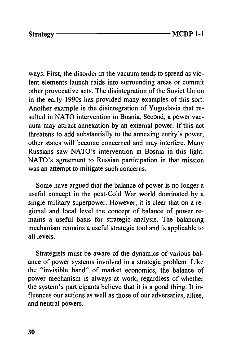ways. First, the disorder in the vacuum tends to spread as violent elements launch raids into surrounding areas or commit other provocative acts. The disintegration of the Soviet Union in the early 1990s has provided many examples of this sort. Another example is the disintegration of Yugoslavia that resulted in NATO intervention in Bosnia. Second, a power vacuum may attract annexation by an external power. If this act threatens to add substantially to the annexing entity's power, other states will become concerned and may interfere. Many Russians saw NATO's intervention in Bosnia in this light. NATO's agreement to Russian participation in that mission was an attempt to mitigate such concerns.

Some have argued that the balance of power is no longer a useful concept in the post-Cold War world dominated by a single military superpower. However, it is clear that on a regional and local level the concept of balance of power remains a useful basis for strategic analysis. The balancing mechanism remains a useful strategic tool and is applicable to all levels.

Strategists must be aware of the dynamics of various balance of power systems involved in a strategic problem. Like the "invisible hand" of market economics, the balance of power mechanism is always at work, regardless of whether the system's participants believe that it is a good thing. It influences our actions as well as those of our adversaries, allies, and neutral powers.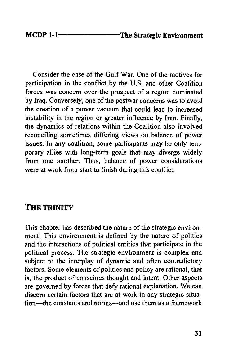Consider the case of the Gulf War. One of the motives for participation in the conflict by the U.S. and other Coalition forces was concern over the prospect of a region dominated by Iraq. Conversely, one of the postwar concerns was to avoid the creation of a power vacuum that could lead to increased instability in the region or greater influence by Iran. Finally, the dynamics of relations within the Coalition also involved reconciling sometimes differing views on balance of power issues. In any coalition, some participants may be only temporary allies with long-term goals that may diverge widely from one another. Thus, balance of power considerations were at work from start to finish during this conflict.

## **THE TRINITY**

This chapter has described the nature of the strategic environment. This environment is defined by the nature of politics and the interactions of political entities that participate in the political process. The strategic environment is complex and subject to the interplay of dynamic and often contradictory factors. Some elements of politics and policy are rational, that is, the product of conscious thought and intent. Other aspects are governed by forces that defy rational explanation. We can discern certain factors that are at work in any strategic situation—the constants and norms—and use them as a framework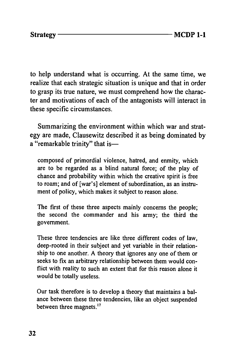to help understand what is occurring. At the same time, we realize that each strategic situation is unique and that in order to grasp its true nature, we must comprehend how the character and motivations of each of the antagonists will interact in these specific circumstances.

Summarizing the environment within which war and strategy are made, Clausewitz described it as being dominated by a "remarkable trinity" that is—

composed of primordial violence, hatred, and enmity, which are to be regarded as a blind natural force; of the play of chance and probability within which the creative spirit is free to roam; and of [war's] element of subordination, as an instrument of policy, which makes it subject to reason alone.

The first of these three aspects mainly concerns the people; the second the commander and his army; the third the government.

These three tendencies are like three different codes of law, deep-rooted in their subject and yet variable in their relationship to one another. A theory that ignores any one of them or seeks to fix an arbitrary relationship between them would conflict with reality to such an extent that for this reason alone it would be totally useless.

Our task therefore is to develop a theory that maintains a balance between these three tendencies, like an object suspended between three magnets.<sup>17</sup>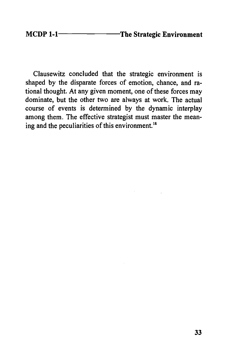Clausewitz concluded that the strategic environment is shaped by the disparate forces of emotion, chance, and rational thought. At any given moment, one of these forces may dominate, but the other two are always at work. The actual course of events is determined by the dynamic interplay among them. The effective strategist must master the meaning and the peculiarities of this environment.'8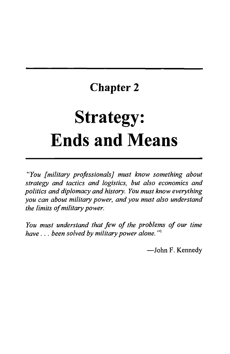# Chapter 2

# Strategy: Ends and Means

"You [military professionals] must know something about strategy and tactics and logistics, but also economics and politics and diplomacy and history. You must know everything you can about military power, and you must also understand the limits of military power.

You must understand that few of the problems of our time have  $\ldots$  been solved by military power alone."<sup>1</sup>

—John F. Kennedy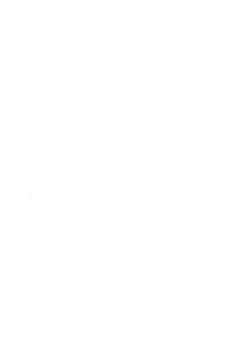$\sim 10^{11}$  m  $^{-1}$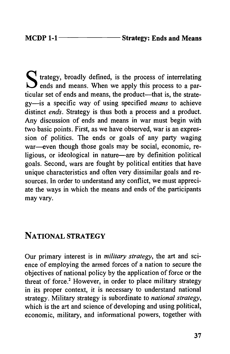Strategy, broadly defined, is the process of interrelating ends and means. When we apply this process to a parends and means. When we apply this process to a particular set of ends and means, the product—that is, the strategy—is a specific way of using specified means to achieve distinct ends. Strategy is thus both a process and a product. Any discussion of ends and means in war must begin with two basic points. First, as we have observed, war is an expression of politics. The ends or goals of any party waging war—even though those goals may be social, economic, religious, or ideological in nature—are by definition political goals. Second, wars are fought by political entities that have unique characteristics and often very dissimilar goals and resources. In order to understand any conflict, we must appreciate the ways in which the means and ends of the participants may vary.

## NATIONAL STRATEGY

Our primary interest is in *military strategy*, the art and science of employing the armed forces of a nation to secure the objectives of national policy by the application of force or the threat of force.<sup>2</sup> However, in order to place military strategy in its proper context, it is necessary to understand national strategy. Military strategy is subordinate to national strategy, which is the art and science of developing and using political, economic, military, and informational powers, together with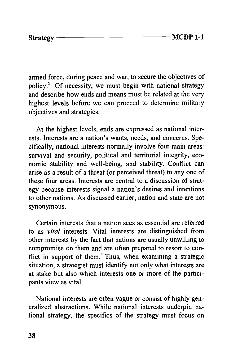armed force, during peace and war, to secure the objectives of policy.3 Of necessity, we must begin with national strategy and describe how ends and means must be related at the very highest levels before we can proceed to determine military objectives and strategies.

At the highest levels, ends are expressed as national interests. Interests are a nation's wants, needs, and concerns. Specifically, national interests normally involve four main areas: survival and security, political and territorial integrity, economic stability and well-being, and stability. Conflict can arise as a result of a threat (or perceived threat) to any one of these four areas. Interests are central to a discussion of strategy because interests signal a nation's desires and intentions to other nations. As discussed earlier, nation and state are not synonymous.

Certain interests that a nation sees as essential are referred to as vital interests. Vital interests are distinguished from other interests by the fact that nations are usually unwilling to compromise on them and are often prepared to resort to conflict in support of them.<sup>4</sup> Thus, when examining a strategic situation, a strategist must identify not only what interests are at stake but also which interests one or more of the participants view as vital.

National interests are often vague or consist of highly generalized abstractions. While national interests underpin national strategy, the specifics of the strategy must focus on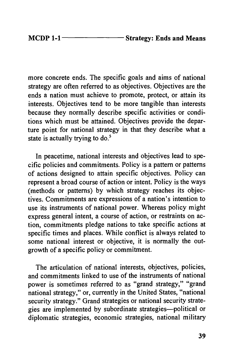more concrete ends. The specific goals and aims of national strategy are often referred to as objectives. Objectives are the ends a nation must achieve to promote, protect, or attain its interests. Objectives tend to be more tangible than interests because they normally describe specific activities or conditions which must be attained. Objectives provide the departure point for national strategy in that they describe what a state is actually trying to do.<sup>5</sup>

In peacetime, national interests and objectives lead to specific policies and commitments. Policy is a pattern or patterns of actions designed to attain specific objectives. Policy can represent a broad course of action or intent. Policy is the ways (methods or patterns) by which strategy reaches its objectives. Commitments are expressions of a nation's intention to use its instruments of national power. Whereas policy might express general intent, a course of action, or restraints on action, commitments pledge nations to take specific actions at specific times and places. While conflict is always related to some national interest or objective, it is normally the outgrowth of a specific policy or commitment.

The articulation of national interests, objectives, policies, and commitments linked to use of the instruments of national power is sometimes referred to as "grand strategy," "grand national strategy," or, currently in the United States, "national security strategy." Grand strategies or national security strategies are implemented by subordinate strategies—political or diplomatic strategies, economic strategies, national military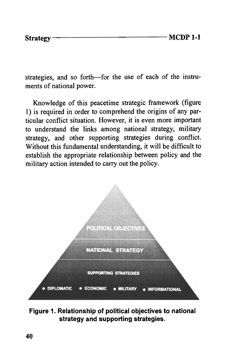strategies, and so forth—for the use of each of the instruments of national power.

Knowledge of this peacetime strategic framework (figure 1) is required in order to comprehend the origins of any particular conflict situation. However, it is even more important to understand the links among national strategy, military strategy, and other supporting strategies during conflict. Without this fundamental understanding, it will be difficult to establish the appropriate relationship between policy and the military action intended to carry out the policy.



Figure 1. Relationship of political objectives to national strategy and supporting strategies.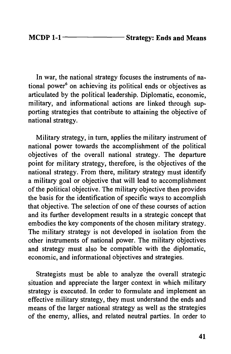In war, the national strategy focuses the instruments of national power<sup>6</sup> on achieving its political ends or objectives as articulated by the political leadership. Diplomatic, economic, military, and informational actions are linked through supporting strategies that contribute to attaining the objective of national strategy.

Military strategy, in turn, applies the military instrument of national power towards the accomplishment of the political objectives of the overall national strategy. The departure point for military strategy, therefore, is the objectives of the national strategy. From there, military strategy must identify a military goal or objective that will lead to accomplishment of the political objective. The military objective then provides the basis for the identification of specific ways to accomplish that objective. The selection of one of these courses of action and its further development results in a strategic concept that embodies the key components of the chosen military strategy. The military strategy is not developed in isolation from the other instruments of national power. The military objectives and strategy must also be compatible with the diplomatic, economic, and informational objectives and strategies.

Strategists must be able to analyze the overall strategic situation and appreciate the larger context in which military strategy is executed. In order to formulate and implement an effective military strategy, they must understand the ends and means of the larger national strategy as well as the strategies of the enemy, allies, and related neutral parties. In order to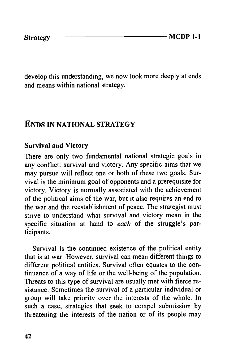develop this understanding, we now look more deeply at ends and means within national strategy.

# **ENDS IN NATIONAL STRATEGY**

### Survival and Victory

There are only two fundamental national strategic goals in any conflict: survival and victory. Any specific aims that we may pursue will reflect one or both of these two goals. Survival is the minimum goal of opponents and a prerequisite for victory. Victory is normally associated with the achievement of the political aims of the war, but it also requires an end to the war and the reestablishment of peace. The strategist must strive to understand what survival and victory mean in the specific situation at hand to each of the struggle's participants.

Survival is the continued existence of the political entity that is at war. However, survival can mean different things to different political entities. Survival often equates to the continuance of a way of life or the well-being of the population. Threats to this type of survival are usually met with fierce resistance. Sometimes the survival of a particular individual or group will take priority over the interests of the whole. In such a case, strategies that seek to compel submission by threatening the interests of the nation or of its people may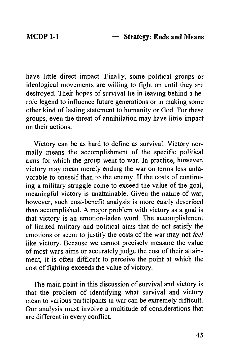have little direct impact. Finally, some political groups or ideological movements are willing to fight on until they are destroyed. Their hopes of survival lie in leaving behind a heroic legend to influence future generations or in making some other kind of lasting statement to humanity or God. For these groups, even the threat of annihilation may have little impact on their actions.

Victory can be as hard to define as survival. Victory normally means the accomplishment of the specific political aims for which the group went to war. In practice, however, victory may mean merely ending the war on terms less unfavorable to oneself than to the enemy. If the costs of continuing a military struggle come to exceed the value of the goal, meaningful victory is unattainable. Given the nature of war, however, such cost-benefit analysis is more easily described than accomplished. A major problem with victory as a goal is that victory is an emotion-laden word. The accomplishment of limited military and political aims that do not satisfy the emotions or seem to justify the costs of the war may not feel like victory. Because we cannot precisely measure the value of most wars aims or accurately judge the cost of their attainment, it is often difficult to perceive the point at which the cost of fighting exceeds the value of victory.

The main point in this discussion of survival and victory is that the problem of identifying what survival and victory mean to various participants in war can be extremely difficult. Our analysis must involve a multitude of considerations that are different in every conflict.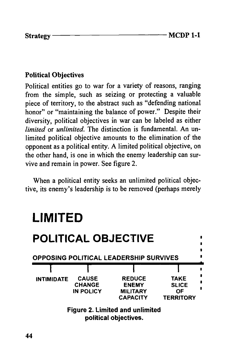#### Political Objectives

Political entities go to war for a variety of reasons, ranging from the simple, such as seizing or protecting a valuable piece of territory, to the abstract such as "defending national honor" or "maintaining the balance of power." Despite their diversity, political objectives in war can be labeled as either limited or unlimited. The distinction is fundamental. An unlimited political objective amounts to the elimination of the opponent as a political entity. A limited political objective, on the other hand, is one in which the enemy leadership can survive and remain in power. See figure 2.

When a political entity seeks an unlimited political objective, its enemy's leadership is to be removed (perhaps merely

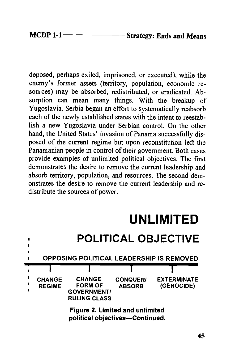deposed, perhaps exiled, imprisoned, or executed), while the enemy's former assets (territory, population, economic resources) may be absorbed, redistributed, or eradicated. Absorption can mean many things. With the breakup of Yugoslavia, Serbia began an effort to systematically reabsorb each of the newly established states with the intent to reestablish a new Yugoslavia under Serbian control. On the other hand, the United States' invasion of Panama successfully disposed of the current regime but upon reconstitution left the Panamanian people in control of their government. Both cases provide examples of unlimited political objectives. The first demonstrates the desire to remove the current leadership and absorb territory, population, and resources. The second demonstrates the desire to remove the current leadership and redistribute the sources of power.

# UNI IMITFD

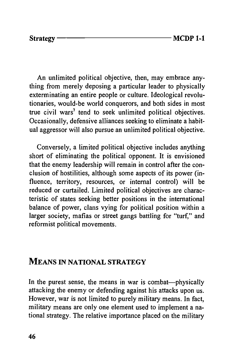An unlimited political objective, then, may embrace anything from merely deposing a particular leader to physically exterminating an entire people or culture. Ideological revolutionaries, would-be world conquerors, and both sides in most true civil wars<sup>7</sup> tend to seek unlimited political objectives. Occasionally, defensive alliances seeking to eliminate a habitual aggressor will also pursue an unlimited political objective.

Conversely, a limited political objective includes anything short of eliminating the political opponent. It is envisioned that the enemy leadership will remain in control after the conclusion of hostilities, although some aspects of its power (influence, territory, resources, or internal control) will be reduced or curtailed. Limited political objectives are characteristic of states seeking better positions in the international balance of power, clans vying for political position within a larger society, mafias or street gangs battling for "turf," and reformist political movements.

### MEANS IN NATIONAL STRATEGY

In the purest sense, the means in war is combat—physically attacking the enemy or defending against his attacks upon us. However, war is not limited to purely military means. In fact, military means are only one element used to implement a national strategy. The relative importance placed on the military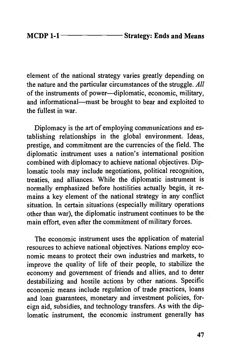element of the national strategy varies greatly depending on the nature and the particular circumstances of the struggle. All of the instruments of power—diplomatic, economic, military, and informational—must be brought to bear and exploited to the fullest in war.

Diplomacy is the art of employing communications and establishing relationships in the global environment. Ideas, prestige, and commitment are the currencies of the field. The diplomatic instrument uses a nation's international position combined with diplomacy to achieve national objectives. Diplomatic tools may include negotiations, political recognition, treaties, and alliances. While the diplomatic instrument is normally emphasized before hostilities actually begin, it remains a key element of the national strategy in any conflict situation. In certain situations (especially military operations other than war), the diplomatic instrument continues to be the main effort, even after the commitment of military forces.

The economic instrument uses the application of material resources to achieve national objectives. Nations employ economic means to protect their own industries and markets, to improve the quality of life of their people, to stabilize the economy and government of friends and allies, and to deter destabilizing and hostile actions by other nations. Specific economic means include regulation of trade practices, loans and loan guarantees, monetary and investment policies, foreign aid, subsidies, and technology transfers. As with the diplomatic instrument, the economic instrument generally has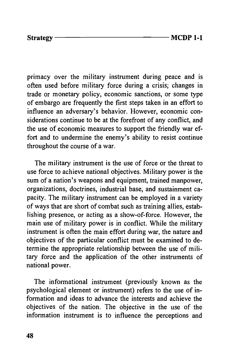primacy over the military instrument during peace and is often used before military force during a crisis; changes in trade or monetary policy, economic sanctions, or some type of embargo are frequently the first steps taken in an effort to influence an adversary's behavior. However, economic considerations continue to be at the forefront of any conflict, and the use of economic measures to support the friendly war effort and to undermine the enemy's ability to resist continue throughout the course of a war.

The military instrument is the use of force or the threat to use force to achieve national objectives. Military power is the sum of a nation's weapons and equipment, trained manpower, organizations, doctrines, industrial base, and sustainment capacity. The military instrument can be employed in a variety of ways that are short of combat such as training allies, establishing presence, or acting as a show-of-force. However, the main use of military power is in conflict. While the military instrument is often the main effort during war, the nature and objectives of the particular conflict must be examined to determine the appropriate relationship between the use of military force and the application of the other instruments of national power.

The informational instrument (previously known as the psychological element or instrument) refers to the use of information and ideas to advance the interests and achieve the objectives of the nation. The objective in the use of the information instrument is to influence the perceptions and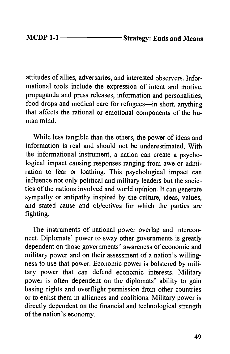attitudes of allies, adversaries, and interested observers. Informational tools include the expression of intent and motive, propaganda and press releases, information and personalities, food drops and medical care for refugees—in short, anything that affects the rational or emotional components of the human mind.

While less tangible than the others, the power of ideas and information is real and should not be underestimated. With the informational instrument, a nation can create a psychological impact causing responses ranging from awe or admiration to fear or loathing. This psychological impact can influence not only political and military leaders but the societies of the nations involved and world opinion. It can generate sympathy or antipathy inspired by the culture, ideas, values, and stated cause and objectives for which the parties are fighting.

The instruments of national power overlap and interconnect. Diplomats' power to sway other governments is greatly dependent on those governments' awareness of economic and military power and on their assessment of a nation's willingness to use that power. Economic power is bolstered by military power that can defend economic interests. Military power is often dependent on the diplomats' ability to gain basing rights and overflight permission from other countries or to enlist them in alliances and coalitions. Military power is directly dependent on the financial and technological strength of the nation's economy.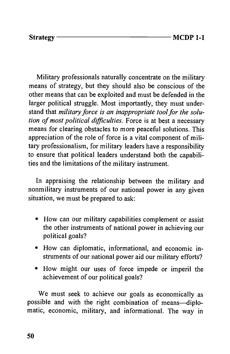Military professionals naturally concentrate on the military means of strategy, but they should also be conscious of the other means that can be exploited and must be defended in the larger political struggle. Most importantly, they must understand that military force is an inappropriate tool for the solution of most political difficulties. Force is at best a necessary means for clearing obstacles to more peaceful solutions. This appreciation of the role of force is a vital component of military professionalism, for military leaders have a responsibility to ensure that political leaders understand both the capabilities and the limitations of the military instrument.

In appraising the relationship between the military and nonmilitary instruments of our national power in any given situation, we must be prepared to ask:

- How can our military capabilities complement or assist the other instruments of national power in achieving our political goals?
- How can diplomatic, informational, and economic instruments of our national power aid our military efforts?
- How might our uses of force impede or imperil the achievement of our political goals?

We must seek to achieve our goals as economically as possible and with the right combination of means—diplomatic, economic, military, and informational. The way in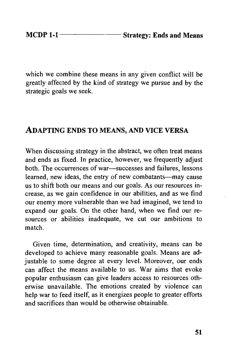which we combine these means in any given conflict will be greatly affected by the kind of strategy we pursue and by the strategic goals we seek.

#### ADAPTING ENDS TO MEANS, AND VICE VERSA

When discussing strategy in the abstract, we often treat means and ends as fixed. In practice, however, we frequently adjust both. The occurrences of war—successes and failures, lessons learned, new ideas, the entry of new combatants—may cause us to shift both our means and our goals. As our resources increase, as we gain confidence in our abilities, and as we find our enemy more vulnerable than we had imagined, we tend to expand our goals. On the other hand, when we find our resources or abilities inadequate, we cut our ambitions to match.

Given time, determination, and creativity, means can be developed to achieve many reasonable goals. Means are adjustable to some degree at every level. Moreover, our ends can affect the means available to us. War aims that evoke popular enthusiasm can give leaders access to resources otherwise unavailable. The emotions created by violence can help war to feed itself, as it energizes people to greater efforts and sacrifices than would be otherwise obtainable.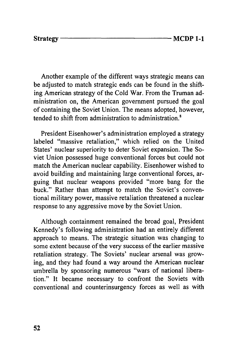Another example of the different ways strategic means can be adjusted to match strategic ends can be found in the shifting American strategy of the Cold War. From the Truman administration on, the American government pursued the goal of containing the Soviet Union. The means adopted, however, tended to shift from administration to administration.'

President Eisenhower's administration employed a strategy labeled "massive retaliation,'' which relied on the United States' nuclear superiority to deter Soviet expansion. The Soviet Union possessed huge conventional forces but could not match the American nuclear capability. Eisenhower wished to avoid building and maintaining large conventional forces, arguing that nuclear weapons provided "more bang for the buck." Rather than attempt to match the Soviet's conventional military power, massive retaliation threatened a nuclear response to any aggressive move by the Soviet Union.

Although containment remained the broad goal, President Kennedy's following administration had an entirely different approach to means. The strategic situation was changing to some extent because of the very success of the earlier massive retaliation strategy. The Soviets' nuclear arsenal was growing, and they had found a way around the American nuclear umbrella by sponsoring numerous "wars of national liberation." It became necessary to confront the Soviets with conventional and counterinsurgency forces as well as with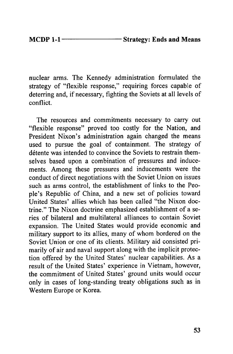nuclear arms. The Kennedy administration formulated the strategy of "flexible response," requiring forces capable of deterring and, if necessary, fighting the Soviets at all levels of conflict.

The resources and commitments necessary to carry out "flexible response" proved too costly for the Nation, and President Nixon's administration again changed the means used to pursue the goal of containment. The strategy of détente was intended to convince the Soviets to restrain themselves based upon a combination of pressures and inducements. Among these pressures and inducements were the conduct of direct negotiations with the Soviet Union on issues such as arms control, the establishment of links to the People's Republic of China, and a new set of policies toward United States' allies which has been called "the Nixon doctrine." The Nixon doctrine emphasized establishment of a series of bilateral and multilateral alliances to contain Soviet expansion. The United States would provide economic and military support to its allies, many of whom bordered om the Soviet Union or one of its clients. Military aid consisted primarily of air and naval support along with the implicit protection offered by the United States' nuclear capabilities. As a result of the United States' experience in Vietnam, however, the commitment of United States' ground units would occur only in cases of long-standing treaty obligations such as in Western Europe or Korea.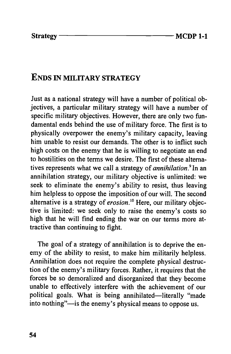## ENDS IN MILITARY STRATEGY

Just as a national strategy will have a number of political objectives, a particular military strategy will have a number of specific military objectives. However, there are only two fundamental ends behind the use of military force. The first is to physically overpower the enemy's military capacity, leaving him unable to resist our demands. The other is to inflict such high costs on the enemy that he is willing to negotiate an end to hostilities on the terms we desire. The first of these alternatives represents what we call a strategy of *annihilation*.<sup>9</sup> In an annihilation strategy, our military objective is unlimited: we seek to eliminate the enemy's ability to resist, thus leaving him helpless to oppose the imposition of our will. The second alternative is a strategy of erosion.<sup>10</sup> Here, our military objective is limited: we seek only to raise the enemy's costs so high that he will find ending the war on our terms more attractive than continuing to fight.

The goal of a strategy of annihilation is to deprive the enemy of the ability to resist, to make him militarily helpless. Annihilation does not require the complete physical destruction of the enemy's military forces. Rather, it requires that the forces be so demoralized and disorganized that they become unable to effectively interfere with the achievement of our political goals. What is being annihilated—literally "made into nothing"—is the enemy's physical means to oppose us.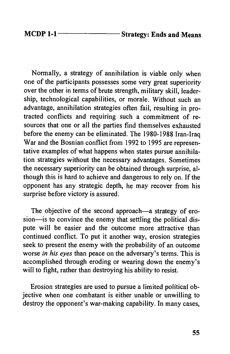Normally, a strategy of annihilation is viable only when one of the participants possesses some very great superiority over the other in terms of brute strength, military skill, leadership, technological capabilities, or morale. Without such an advantage, annihilation strategies often fail, resulting in protracted conflicts and requiring such a commitment of resources that one or all the parties find themselves exhausted before the enemy can be eliminated. The 1980-1988 Iran-Iraq War and the Bosnian conflict from 1992 to 1995 are representative examples of what happens when states pursue annihilation strategies without the necessary advantages. Sometimes the necessary superiority can be obtained through surprise, although this is hard to achieve and dangerous to rely on. If the opponent has any strategic depth, he may recover from his surprise before victory is assured.

The objective of the second approach—a strategy of erosion—is to convince the enemy that settling the political dispute will be easier and the outcome more attractive than continued conflict. To put it another way, erosion strategies seek to present the enemy with the probability of an outcome worse *in his eyes* than peace on the adversary's terms. This is accomplished through eroding or wearing down the enemy's will to fight, rather than destroying his ability to resist.

Erosion strategies are used to pursue a limited political objective when one combatant is either unable or unwilling to destroy the opponent's war-making capability. In many cases,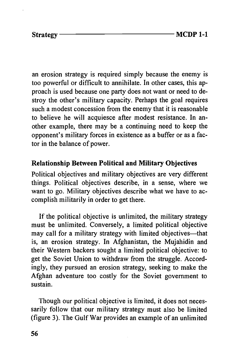an erosion strategy is required simply because the enemy is too powerful or difficult to annihilate. In other cases, this approach is used because one party does not want or need to destroy the other's military capacity. Perhaps the goal requires such a modest concession from the enemy that it is reasonable to believe he will acquiesce after modest resistance. In another example, there may be a continuing need to keep the opponent's military forces in existence as a buffer or as a factor in the balance of power.

#### Relationship Between Political and Military Objectives

Political objectives and military objectives are very different things. Political objectives describe, in a sense, where we want to go. Military objectives describe what we have to accomplish militarily in order to get there.

If the political objective is unlimited, the military strategy must be unlimited. Conversely, a limited political objective may call for a military strategy with limited objectives—that is, an erosion strategy. In Afghanistan, the Mujahidin and their Western backers sought a limited political objective: to get the Soviet Union to withdraw from the struggle. Accordingly, they pursued an erosion strategy, seeking to make the Afghan adventure too costly for the Soviet government to sustain.

Though our political objective is limited, it does not necessarily follow that our military strategy must also be limited (figure 3). The Gulf War provides an example of an unlimited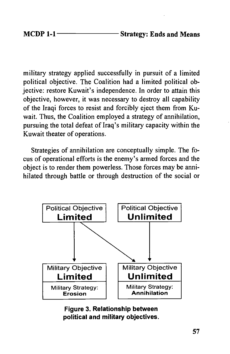military strategy applied successfully in pursuit of a limited political objective. The Coalition had a limited political objective: restore Kuwait's independence. In order to attain this objective, however, it was necessary to destroy all capability of the Iraqi forces to resist and forcibly eject them from Kuwait. Thus, the Coalition employed a strategy of annihilation, pursuing the total defeat of Iraq's military capacity within the Kuwait theater of operations.

Strategies of annihilation are conceptually simple. The focus of operational efforts is the enemy's armed forces and the object is to render them powerless. Those forces may be annihilated through battle or through destruction of the social or



Figure 3. Relationship between political and military objectives.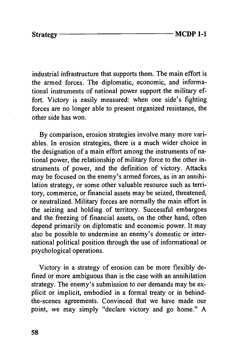industrial infrastructure that supports them. The main effort is the armed forces. The diplomatic, economic, and informational instruments of national power support the military effort. Victory is easily measured: when one side's fighting forces are no longer able to present organized resistance, the other side has won.

By comparison, erosion strategies involve many more variables. In erosion strategies, there is a much wider choice in the designation of a main effort among the instruments of national power, the relationship of military force to the other instruments of power, and the definition of victory. Attacks may be focused on the enemy's armed forces, as in an annihilation strategy, or some other valuable resource such as territory, commerce, or financial assets may be seized, threatened, or neutralized. Military forces are normally the main effort in the seizing and holding of territory. Successful embargoes and the freezing of financial assets, on the other hand, often depend primarily on diplomatic and economic power. It may also be possible to undermine an enemy's domestic or international political position through the use of informational or psychological operations.

Victory in a strategy of erosion can be more flexibly defined or more ambiguous than is the case with an annihilation strategy. The enemy's submission to our demands may be explicit or implicit, embodied in a formal treaty or in behindthe-scenes agreements. Convinced that we have made our point, we may simply "declare victory and go home." A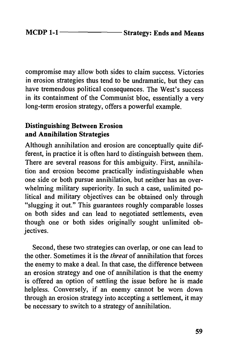compromise may allow both sides to claim success. Victories in erosion strategies thus tend to be undramatic, but they can have tremendous political consequences. The West's success in its containment of the Communist bloc, essentially a very long-term erosion strategy, offers a powerful example.

#### Distinguishing Between Erosion and Annihilation Strategies

Although annihilation and erosion are conceptually quite different, in practice it is often hard to distinguish between them. There are several reasons for this ambiguity. First, annihilation and erosion become practically indistinguishable when one side or both pursue annihilation, but neither has an overwhelming military superiority. In such a case, unlimited political and military objectives can be obtained only through "slugging it out." This guarantees roughly comparable losses on both sides and can lead to negotiated settlements, even though one or both sides originally sought unlimited objectives.

Second, these two strategies can overlap, or one can lead to the other. Sometimes it is the threat of annihilation that forces the enemy to make a deal. In that case, the difference between an erosion strategy and one of annihilation is that the enemy is offered an option of settling the issue before he is made helpless. Conversely, if an enemy cannot be worn down through an erosion strategy into accepting a settlement, it may be necessary to switch to a strategy of annihilation.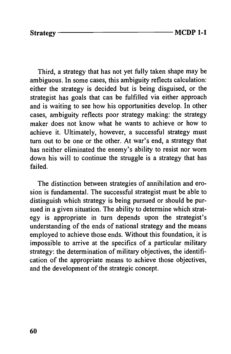Third, a strategy that has not yet fully taken shape may be ambiguous. In some cases, this ambiguity reflects calculation: either the strategy is decided but is being disguised, or the strategist has goals that can be fulfilled via either approach and is waiting to see how his opportunities develop. In other cases, ambiguity reflects poor strategy making: the strategy maker does not know what he wants to achieve or how to achieve it. Ultimately, however, a successful strategy must turn out to be one or the other. At war's end, a strategy that has neither eliminated the enemy's ability to resist nor worn down his will to continue the struggle is a strategy that has failed.

The distinction between strategies of annihilation and erosion is fundamental. The successful strategist must be able to distinguish which strategy is being pursued or should be pursued in a given situation. The ability to determine which strategy is appropriate in turn depends upon the strategist's understanding of the ends of national strategy and the means employed to achieve those ends. Without this foundation, it is impossible to arrive at the specifics of a particular military strategy: the determination of military objectives, the identification of the appropriate means to achieve those objectives, and the development of the strategic concept.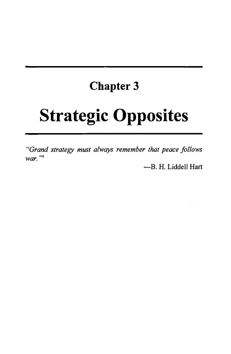# Chapter 3

# Strategic Opposites

"Grand strategy must always remember that peace follows war. "

—B. H. Liddell Hart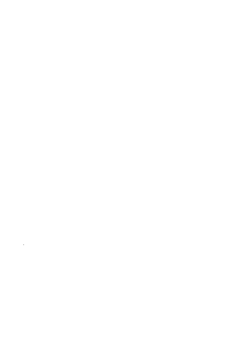$\mathcal{A}^{\text{max}}_{\text{max}}$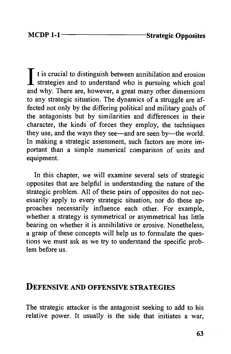$\prod$  t is crucial to distinguish between annihilation and erosion strategies and to understand who is pursuing which goal I strategies and to understand who is pursuing which goal and why. There are, however, a great many other dimensions to any strategic situation. The dynamics of a struggle are affected not only by the differing political and military goals of the antagonists but by similarities and differences in their character, the kinds of forces they employ, the techniques they use, and the ways they see—and are seen by—the world. In making a strategic assessment, such factors are more important than a simple numerical comparison of units and equipment.

In this chapter, we will examine several sets of strategic opposites that are helpful in understanding the nature of the strategic problem. All of these pairs of opposites do not necessarily apply to every strategic situation, nor do these approaches necessarily influence each other. For example, whether a strategy is symmetrical or asymmetrical has little bearing on whether it is annihilative or erosive. Nonetheless, a grasp of these concepts will help us to formulate the questions we must ask as we try to understand the specific problem before us.

#### DEFENSIVE AND OFFENSIVE STRATEGIES

The strategic attacker is the antagonist seeking to add to his relative power. It usually is the side that initiates a war,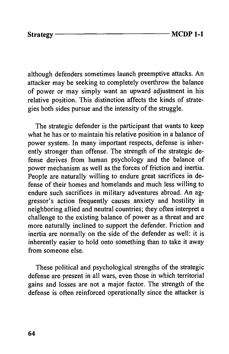although defenders sometimes launch preemptive attacks. An attacker may be seeking to completely overthrow the balance of power or may simply want an upward adjustment in his relative position. This distinction affects the kinds of strategies both sides pursue and the intensity of the struggle.

The strategic defender is the participant that wants to keep what he has or to maintain his relative position in a balance of power system. In many important respects, defense is inherently stronger than offense. The strength of the strategic defense derives from human psychology and the balance of power mechanism as well as the forces of friction and inertia. People are naturally willing to endure great sacrifices in defense of their homes and homelands and much less willing to endure such sacrifices in military adventures abroad. An aggressor's action frequently causes anxiety and hostility in neighboring allied and neutral countries; they often interpret a challenge to the existing balance of power as a threat and are more naturally inclined to support the defender. Friction and inertia are normally on the side of the defender as well: it is inherently easier to hold onto something than to take it away from someone else.

These political and psychological strengths of the strategic defense are present in all wars, even those in which territorial gains and losses are not a major factor. The strength of the defense is often reinforced operationally since the attacker is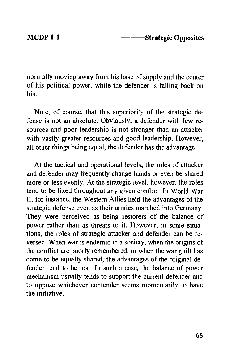normally moving away from his base of supply and the center of his political power, while the defender is falling back on his.

Note, of course, that this superiority of the strategic defense is not an absolute. Obviously, a defender with few resources and poor leadership is not stronger than an attacker with vastly greater resources and good leadership. However, all other things being equal, the defender has the advantage.

At the tactical and operational levels, the roles of attacker and defender may frequently change hands or even be shared more or less evenly. At the strategic level, however, the roles tend to be fixed throughout any given conflict. In World War II, for instance, the Western Allies held the advantages of the strategic defense even as their armies marched into Germany. They were perceived as being restorers of the balance of power rather than as threats to it. However, in some situations, the roles of strategic attacker and defender can be reversed. When war is endemic in a society, when the origins of the conflict are poorly remembered, or when the war guilt has come to be equally shared, the advantages of the original defender tend to be lost. In such a case, the balance of power mechanism usually tends to support the current defender and to oppose whichever contender seems momentarily to have the initiative.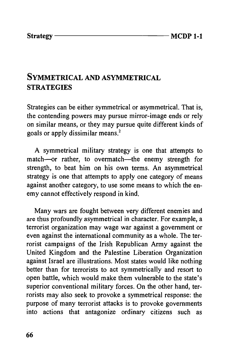# SYMMETRICAL AND ASYMMETRICAL **STRATEGIES**

Strategies can be either symmetrical or asymmetrical. That is, the contending powers may pursue mirror-image ends or rely on similar means, or they may pursue quite different kinds of goals or apply dissimilar means.<sup>2</sup>

A symmetrical military strategy is one that attempts to match—or rather, to overmatch—the enemy strength for strength, to beat him on his own terms. An asymmetrical strategy is one that attempts to apply one category of means against another category, to use some means to which the enemy cannot effectively respond in kind.

Many wars are fought between very different enemies and are thus profoundly asymmetrical in character. For example, a terrorist organization may wage war against a government or even against the international community as a whole. The terrorist campaigns of the Irish Republican Army against the United Kingdom and the Palestine Liberation Organization against Israel are illustrations. Most states would like nothing better than for terrorists to act symmetrically and resort to open battle, which would make them vulnerable to the state's superior conventional military forces. On the other hand, terrorists may also seek to provoke a symmetrical response: the purpose of many terrorist attacks is to provoke governments into actions that antagonize ordinary citizens such as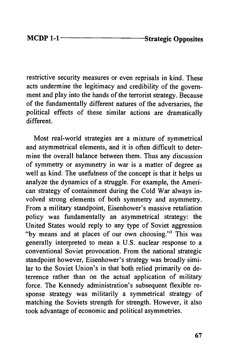restrictive security measures or even reprisals in kind. These acts undermine the legitimacy and credibility of the government and play into the hands of the terrorist strategy. Because of the fundamentally different natures of the adversaries, the political effects of these similar actions are dramatically different.

Most real-world strategies are a mixture of symmetrical and asymmetrical elements, and it is often difficult to determine the overall balance between them. Thus any discussion of symmetry or asymmetry in war is a matter of degree as well as kind. The usefulness of the concept is that it helps us analyze the dynamics of a struggle. For example, the American strategy of containment during the Cold War always involved strong elements of both symmetry and asymmetry. From a military standpoint, Eisenhower's massive retaliation policy was fundamentally an asymmetrical strategy: the United States would reply to any type of Soviet aggression "by means and at places of our own choosing."3 This was generally interpreted to mean a U.S. nuclear response to a conventional Soviet provocation. From the national strategic standpoint however, Eisenhower's strategy was broadly similar to the Soviet Union's in that both relied primarily on deterrence rather than on the actual application of military force. The Kennedy administration's subsequent flexible response strategy was militarily a symmetrical strategy of matching the Soviets strength for strength. However, it also took advantage of economic and political asymmetries.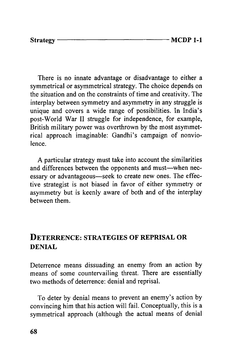There is no innate advantage or disadvantage to either a symmetrical or asymmetrical strategy. The choice depends on the situation and on the constraints of time and creativity. The interplay between symmetry and asymmetry in any struggle is unique and covers a wide range of possibilities. In India's post-World War I1 struggle for independence, for example, British military power was overthrown by the most asymmetrical approach imaginable: Gandhi's campaign of nonviolence.

A particular strategy must take into account the similarities and differences between the opponents and must--when necessary or advantageous-seek to create new ones. The effective strategist is not biased in favor of either symmetry or asymmetry but is keenly aware of both and of the interplay between them.

# **DETERRENCE: STRATEGIES OF REPRISAL OR DENIAL**

Deterrence means dissuading an enemy from an action by means of some countervailing threat. There are essentially two methods of deterrence: denial and reprisal.

To deter by denial means to prevent an enemy's action by convincing him that his action will fail. Conceptually, this is a symmetrical approach (although the actual means of denial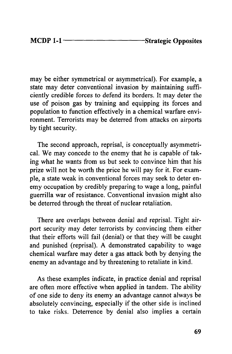may be either symmetrical or asymmetrical). For example, a state may deter conventional invasion by maintaining sufficiently credible forces to defend its borders. It may deter the use of poison gas by training and equipping its forces and population to function effectively in a chemical warfare environment. Terrorists may be deterred from attacks on airports by tight security.

The second approach, reprisal, is conceptually asymmetrical. We may concede to the enemy that he is capable of taking what he wants from us but seek to convince him that his prize will not be worth the price he will pay for it. For example, a state weak in conventional forces may seek to deter enemy occupation by credibly preparing to wage a long, painful guerrilla war of resistance. Conventional invasion might also be deterred through the threat of nuclear retaliation.

There are overlaps between denial and reprisal. Tight airport security may deter terrorists by convincing them either that their efforts will fail (denial) or that they will be caught and punished (reprisal). A demonstrated capability to wage chemical warfare may deter a gas attack both by denying the enemy an advantage and by threatening to retaliate in kind.

As these examples indicate, in practice denial and reprisal are often more effective when applied in tandem. The ability of one side to deny its enemy an advantage cannot always be absolutely convincing, especially if the other side is inclined to take risks. Deterrence by denial also implies a certain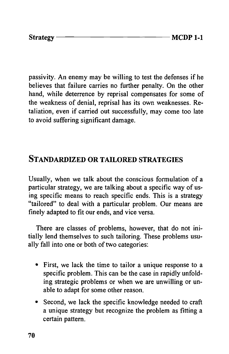passivity. An enemy may be willing to test the defenses if he believes that failure carries no further penalty. On the other hand, while deterrence by reprisal compensates for some of the weakness of denial, reprisal has its own weaknesses. Retaliation, even if carried out successfully, may come too late to avoid suffering significant damage.

# STANDARDIZED OR TAILORED STRATEGIES

Usually, when we talk about the conscious formulation of a particular strategy, we are talking about a specific way of using specific means to reach specific ends. This is a strategy "tailored" to deal with a particular problem. Our means are finely adapted to fit our ends, and vice versa.

There are classes of problems, however, that do not initially lend themselves to such tailoring. These problems usually fall into one or both of two categories:

- First, we lack the time to tailor a unique response to a specific problem. This can be the case in rapidly unfolding strategic problems or when we are unwilling or unable to adapt for some other reason.
- Second, we lack the specific knowledge needed to craft a unique strategy but recognize the problem as fitting a certain pattern.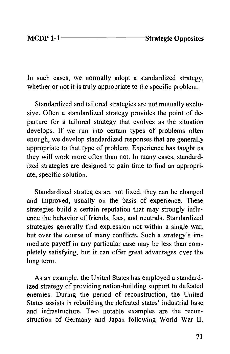In such cases, we normally adopt a standardized strategy, whether or not it is truly appropriate to the specific problem.

Standardized and tailored strategies are not mutually exclusive. Often a standardized strategy provides the point of departure for a tailored strategy that evolves as the situation develops. If we run into certain types of problems often enough, we develop standardized responses that are generally appropriate to that type of problem. Experience has taught us they will work more often than not. In many cases, standardized strategies are designed to gain time to find an appropriate, specific solution.

Standardized strategies are not fixed; they can be changed and improved, usually on the basis of experience. These strategies build a certain reputation that may strongly influence the behavior of friends, foes, and neutrals. Standardized strategies generally find expression not within a single war, but over the course of many conflicts. Such a strategy's immediate payoff in any particular case may be less than completely satisfying, but it can offer great advantages over the long term.

As an example, the United States has employed a standardized strategy of providing nation-building support to defeated enemies. During the period of reconstruction, the United States assists in rebuilding the defeated states' industrial base and infrastructure. Two notable examples are the reconstruction of Germany and Japan following World War II.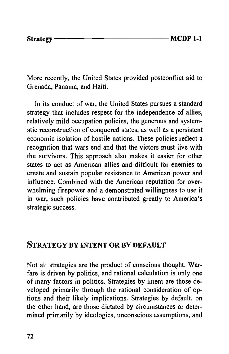More recently, the United States provided postconflict aid to Grenada, Panama, and Haiti.

In its conduct of war, the United States pursues a standard strategy that includes respect for the independence of allies, relatively mild occupation policies, the generous and systematic reconstruction of conquered states, as well as a persistent economic isolation of hostile nations. These policies reflect a recognition that wars end and that the victors must live with the survivors. This approach also makes it easier for other states to act as American allies and difficult for enemies to create and sustain popular resistance to American power and influence. Combined with the American reputation for overwhelming firepower and a demonstrated willingness to use it in war, such policies have contributed greatly to America's strategic success.

# STRATEGY BY INTENT OR BY DEFAULT

Not all strategies are the product of conscious thought. Warfare is driven by politics, and rational calculation is only one of many factors in politics. Strategies by intent are those developed primarily through the rational consideration of options and their likely implications. Strategies by default, on the other hand, are those dictated by circumstances or determined primarily by ideologies, unconscious assumptions, and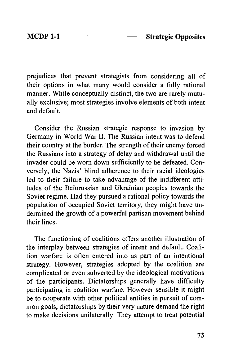prejudices that prevent strategists from considering all of their options in what many would consider a fully rational manner. While conceptually distinct, the two are rarely mutually exclusive; most strategies involve elements of both intent and default.

Consider the Russian strategic response to invasion by Germany in World War II. The Russian intent was to defend their country at the border. The strength of their enemy forced the Russians into a strategy of delay and withdrawal until the invader could be worn down sufficiently to be defeated. Conversely, the Nazis' blind adherence to their racial ideologies led to their failure to take advantage of the indifferent attitudes of the Belorussian and Ukrainian peoples towards the Soviet regime. Had they pursued a rational policy towards the population of occupied Soviet territory, they might have undermined the growth of a powerful partisan movement behind their lines.

The functioning of coalitions offers another illustration of the interplay between strategies of intent and default. Coalition warfare is often entered into as part of an intentional strategy. However, strategies adopted by the coalition are complicated or even subverted by the ideological motivations of the participants. Dictatorships generally have difficulty participating in coalition warfare. However sensible it might be to cooperate with other political entities in pursuit of common goals, dictatorships by their very nature demand the right to make decisions unilaterally. They attempt to treat potential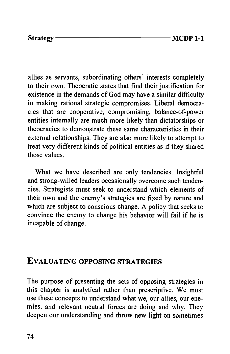allies as servants, subordinating others' interests completely to their own. Theocratic states that find their justification for existence in the demands of God may have a similar difficulty in making rational strategic compromises. Liberal democracies that are cooperative, compromising, balance-of-power entities internally are much more likely than dictatorships or theocracies to demonstrate these same characteristics in their external relationships. They are also more likely to attempt to treat very different kinds of political entities as if they shared those values.

What we have described are only tendencies. Insightful and strong-willed leaders occasionally overcome such tendencies. Strategists must seek to understand which elements of their own and the enemy's strategies are fixed by nature and which are subject to conscious change. A policy that seeks to convince the enemy to change his behavior will fail if he is incapable of change.

# EVALUATING OPPOSING STRATEGIES

The purpose of presenting the sets of opposing strategies in this chapter is analytical rather than prescriptive. We must use these concepts to understand what we, our allies, our enemies, and relevant neutral forces are doing and why. They deepen our understanding and throw new light on sometimes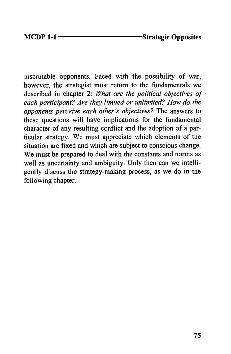inscrutable opponents. Faced with the possibility of war, however, the strategist must return to the fundamentals we described in chapter 2: What are the political objectives of each participant? Are they limited or unlimited? How do the opponents perceive each other's objectives? The answers to these questions will have implications for the fundamental character of any resulting conflict and the adoption of a particular strategy. We must appreciate which elements of the situation are fixed and which are subject to conscious change. We must be prepared to deal with the constants and norms as well as uncertainty and ambiguity. Only then can we intelligently discuss the strategy-making process, as we do in the following chapter.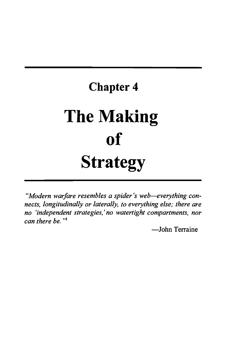# Chapter 4

# The Making of Strategy

"Modern warfare resembles a spider's web—everything connects, longitudinally or laterally, to everything else; there are no 'independent strategies, 'no watertight compartments, nor can there be. "

—John Terraine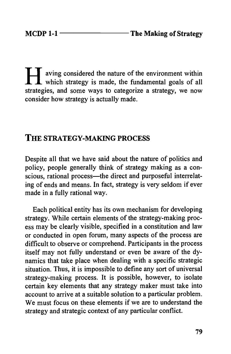I aving considered the nature of the environment within<br>which strategy is made, the fundamental goals of all which strategy is made, the fundamental goals of all strategies, and some ways to categorize a strategy, we now consider how strategy is actually made.

# THE STRATEGY-MAKING PROCESS

Despite all that we have said about the nature of politics and policy, people generally think of strategy making as a conscious, rational process—the direct and purposeful interrelating of ends and means. In fact, strategy is very seldom if ever made in a fully rational way.

Each political entity has its own mechanism for developing strategy. While certain elements of the strategy-making process may be clearly visible, specified in a constitution and law or conducted in open forum, many aspects of the process are difficult to observe or comprehend. Participants in the process itself may not fully understand or even be aware of the dynamics that take place when dealing with a specific strategic situation. Thus, it is impossible to define any sort of universal strategy-making process. It is possible, however, to isolate certain key elements that any strategy maker must take into account to arrive at a suitable solution to a particular problem. We must focus on these elements if we are to understand the strategy and strategic context of any particular conflict.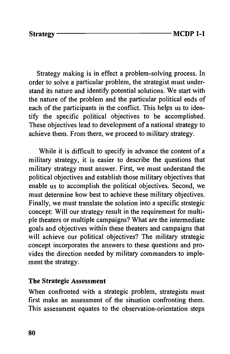Strategy making is in effect a problem-solving process. In order to solve a particular problem, the strategist must understand its nature and identify potential solutions. We start with the nature of the problem and the particular political ends of each of the participants in the conflict. This helps us to identify the specific political objectives to be accomplished. These objectives lead to development of a national strategy to achieve them. From there, we proceed to military strategy.

While it is difficult to specify in advance the content of a military strategy, it is easier to describe the questions that military strategy must answer. First, we must understand the political objectives and establish those military objectives that enable us to accomplish the political objectives. Second, we must determine how best to achieve these military objectives. Finally, we must translate the solution into a specific strategic concept: Will our strategy result in the requirement for multiple theaters or multiple campaigns? What are the intermediate goals and objectives within these theaters and campaigns that will achieve our political objectives? The military strategic concept incorporates the answers to these questions and provides the direction needed by military commanders to implement the strategy.

#### The Strategic Assessment

When confronted with a strategic problem, strategists must first make an assessment of the situation confronting them. This assessment equates to the observation-orientation steps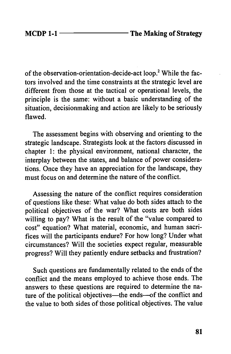of the observation-orientation-decide-act loop.<sup>2</sup> While the factors involved and the time constraints at the strategic level are different from those at the tactical or operational levels, the principle is the same: without a basic understanding of the situation, decisionmaking and action are likely to be seriously flawed.

The assessment begins with observing and orienting to the strategic landscape. Strategists look at the factors discussed in chapter 1: the physical environment, national character, the interplay between the states, and balance of power considerations. Once they have an appreciation for the landscape, they must focus on and determine the nature of the conflict.

Assessing the nature of the conflict requires consideration of questions like these: What value do both sides attach to the political objectives of the war? What costs are both sides willing to pay? What is the result of the "value compared to cost" equation? What material, economic, and human sacrifices will the participants endure? For how long? Under what circumstances? Will the societies expect regular, measurable progress? Will they patiently endure setbacks and frustration?

Such questions are fundamentally related to the ends of the conflict and the means employed to achieve those ends. The answers to these questions are required to determine the nature of the political objectives—the ends—of the conflict and the value to both sides of those political objectives. The value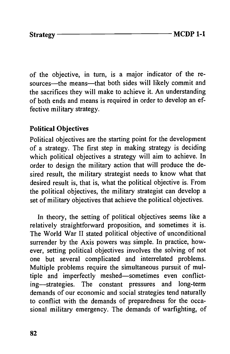of the objective, in turn, is a major indicator of the resources—the means—that both sides will likely commit and the sacrifices they will make to achieve it. An understanding of both ends and means is required in order to develop an effective military strategy.

# Political Objectives

Political objectives are the starting point for the development of a strategy. The first step in making strategy is deciding which political objectives a strategy will aim to achieve. In order to design the military action that will produce the desired result, the military strategist needs to know what that desired result is, that is, what the political objective is. From the political objectives, the military strategist can develop a set of military objectives that achieve the political objectives.

In theory, the setting of political objectives seems like a relatively straightforward proposition, and sometimes it is. The World War II stated political objective of unconditional surrender by the Axis powers was simple. In practice, however, setting political objectives involves the solving of not one but several complicated and interrelated problems. Multiple problems require the simultaneous pursuit of multiple and imperfectly meshed—sometimes even conflicting—strategies. The constant pressures and long-term demands of our economic and social strategies tend naturally to conflict with the demands of preparedness for the occasional military emergency. The demands of warfighting, of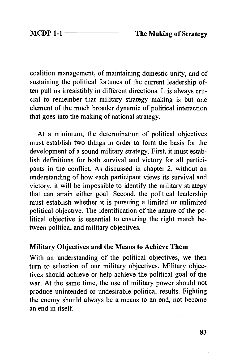coalition management, of maintaining domestic unity, and of sustaining the political fortunes of the current leadership often pull us irresistibly in different directions. It is always crucial to remember that military strategy making is but one element of the much broader dynamic of political interaction that goes into the making of national strategy.

At a minimum, the determination of political objectives must establish two things in order to form the basis for the development of a sound military strategy. First, it must establish definitions for both survival and victory for all participants in the conflict. As discussed in chapter 2, without an understanding of how each participant views its survival and victory, it will be impossible to identify the military strategy that can attain either goal. Second, the political leadership must establish whether it is pursuing a limited or unlimited political objective. The identification of the nature of the political objective is essential to ensuring the right match between political and military objectives.

#### Military Objectives and the Means to Achieve Them

With an understanding of the political objectives, we then turn to selection of our military objectives. Military objectives should achieve or help achieve the political goal of the war. At the same time, the use of military power should not produce unintended or undesirable political results. Fighting the enemy should always be a means to an end, not become an end in itself.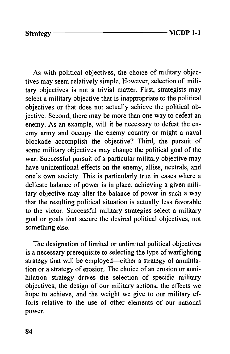As with political objectives, the choice of military objectives may seem relatively simple. However, selection of military objectives is not a trivial matter. First, strategists may select a military objective that is inappropriate to the political objectives or that does not actually achieve the political objective. Second, there may be more than one way to defeat an enemy. As an example, will it be necessary to defeat the enemy army and occupy the enemy country or might a naval blockade accomplish the objective? Third, the pursuit of some military objectives may change the political goal of the war. Successful pursuit of a particular military objective may have unintentional effects on the enemy, allies, neutrals, and one's own society. This is particularly true in cases where a delicate balance of power is in place; achieving a given military objective may alter the balance of power in such a way that the resulting political situation is actually less favorable to the victor. Successful military strategies select a military goal or goals that secure the desired political objectives, not something else.

The designation of limited or unlimited political objectives is a necessary prerequisite to selecting the type of warfighting strategy that will be employed—either a strategy of annihilation or a strategy of erosion. The choice of an erosion or annihilation strategy drives the selection of specific military objectives, the design of our military actions, the effects we hope to achieve, and the weight we give to our military efforts relative to the use of other elements of our national power.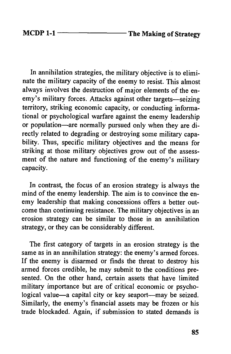In annihilation strategies, the military objective is to eliminate the military capacity of the enemy to resist. This almost always involves the destruction of major elements of the enemy's military forces. Attacks against other targets—seizing territory, striking economic capacity, or conducting informational or psychological warfare against the enemy leadership or population—are normally pursued only when they are directly related to degrading or destroying some military capability. Thus, specific military objectives and the means for striking at those military objectives grow out of the assessment of the nature and functioning of the enemy's military capacity.

In contrast, the focus of an erosion strategy is always the mind of the enemy leadership. The aim is to convince the enemy leadership that making concessions offers a better outcome than continuing resistance. The military objectives in an erosion strategy can be similar to those in an annihilation strategy, or they can be considerably different.

The first category of targets in an erosion strategy is the same as in an annihilation strategy: the enemy's armed forces. If the enemy is disarmed or finds the threat to destroy his armed forces credible, he may submit to the conditions presented. On the other hand, certain assets that have limited military importance but are of critical economic or psychological value—a capital city or key seaport—may be seized. Similarly, the enemy's financial assets may be frozen or his trade blockaded. Again, if submission to stated demands is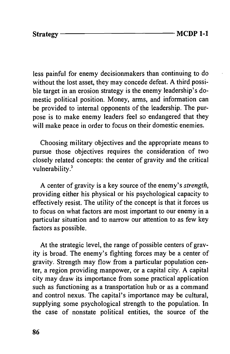less painful for enemy decisionmakers than continuing to do without the lost asset, they may concede defeat. A third possible target in an erosion strategy is the enemy leadership's domestic political position. Money, arms, and information can be provided to internal opponents of the leadership. The purpose is to make enemy leaders feel so endangered that they will make peace in order to focus on their domestic enemies.

Choosing military objectives and the appropriate means to pursue those objectives requires the consideration of two closely related concepts: the center of gravity and the critical vulnerability.<sup>3</sup>

A center of gravity is a key source of the enemy's strength, providing either his physical or his psychological capacity to effectively resist. The utility of the concept is that it forces us to focus on what factors are most important to our enemy in a particular situation and to narrow our attention to as few key factors as possible.

At the strategic level, the range of possible centers of gravity is broad. The enemy's fighting forces may be a center of gravity. Strength may flow from a particular population center, a region providing manpower, or a capital city. A capital city may draw its importance from some practical application such as functioning as a transportation hub or as a command and control nexus. The capital's importance may be cultural, supplying some psychological strength to the population. In the case of nonstate political entities, the source of the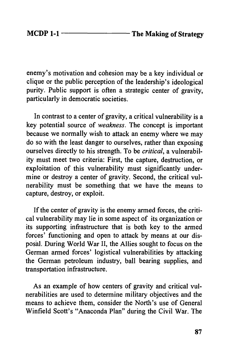enemy's motivation and cohesion may be a key individual or clique or the public perception of the leadership's ideological purity. Public support is often a strategic center of gravity, particularly in democratic societies.

In contrast to a center of gravity, a critical vulnerability is a key potential source of weakness. The concept is important because we normally wish to attack an enemy where we may do so with the least danger to ourselves, rather than exposing ourselves directly to his strength. To be critical, a vulnerability must meet two criteria: First, the capture, destruction, or exploitation of this vulnerability must significantly undermine or destroy a center of gravity. Second, the critical vulnerability must be something that we have the means to capture, destroy, or exploit.

If the center of gravity is the enemy armed forces, the critical vulnerability may lie in some aspect of its organization or its supporting infrastructure that is both key to the armed forces' functioning and open to attack by means at our disposal. During World War II, the Allies sought to focus on the German armed forces' logistical vulnerabilities by attacking the German petroleum industry, ball bearing supplies, and transportation infrastructure.

As an example of how centers of gravity and critical vulnerabilities are used to determine military objectives and the means to achieve them, consider the North's use of General Winfield Scott's "Anaconda Plan" during the Civil War. The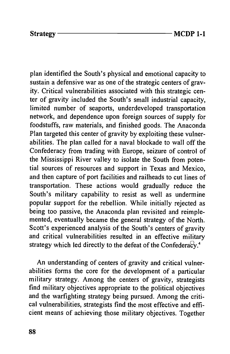plan identified the South's physical and emotional capacity to sustain a defensive war as one of the strategic centers of gravity. Critical vulnerabilities associated with this strategic center of gravity included the South's small industrial capacity, limited number of seaports, underdeveloped transportation network, and dependence upon foreign sources of supply for foodstuffs, raw materials, and finished goods. The Anaconda Plan targeted this center of gravity by exploiting these vulnerabilities. The plan called for a naval blockade to wall off the Confederacy from trading with Europe, seizure of control of the Mississippi River valley to isolate the South from potential sources of resources and support in Texas and Mexico, and then capture of port facilities and railheads to cut lines of transportation. These actions would gradually reduce the South's military capability to resist as well as undermine popular support for the rebellion. While initially rejected as being too passive, the Anaconda plan revisited and reimplemented, eventually became the general strategy of the North. Scott's experienced analysis of the South's centers of gravity and critical vulnerabilities resulted in an effective military strategy which led directly to the defeat of the Confederacy.<sup>4</sup>

An understanding of centers of gravity and critical vulnerabilities forms the core for the development of a particular military strategy. Among the centers of gravity, strategists find military objectives appropriate to the political objectives and the warfighting strategy being pursued. Among the critical vulnerabilities, strategists find the most effective and efficient means of achieving those military objectives. Together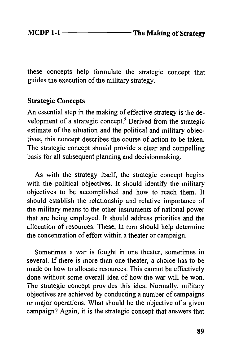these concepts help formulate the strategic concept that guides the execution of the military strategy.

#### Strategic Concepts

An essential step in the making of effective strategy is the development of a strategic concept.<sup>5</sup> Derived from the strategic estimate of the situation and the political and military objectives, this concept describes the course of action to be taken. The strategic concept should provide a clear and compelling basis for all subsequent planning and decisionmaking.

As with the strategy itself, the strategic concept begins with the political objectives. It should identify the military objectives to be accomplished and how to reach them. It should establish the relationship and relative importance of the military means to the other instruments of national power that are being employed. It should address priorities and the allocation of resources. These, in turn should help determine the concentration of effort within a theater or campaign.

Sometimes a war is fought in one theater, sometimes in several. If there is more than one theater, a choice has to be made on how to allocate resources. This cannot be effectively done without some overall idea of how the war will be won. The strategic concept provides this idea. Normally, military objectives are achieved by conducting a number of campaigns or major operations. What should be the objective of a given campaign? Again, it is the strategic concept that answers that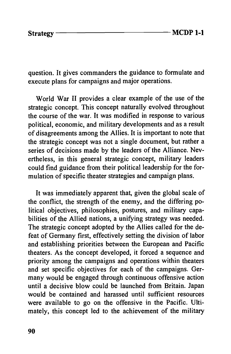question. It gives commanders the guidance to formulate and execute plans for campaigns and major operations.

World War II provides a clear example of the use of the strategic concept. This concept naturally evolved throughout the course of the war. It was modified in response to various political, economic, and military developments and as a result of disagreements among the Allies. It is important to note that the strategic concept was not a single document, but rather a series of decisions made by the leaders of the Alliance. Nevertheless, in this general strategic concept, military leaders could find guidance from their political leadership for the formulation of specific theater strategies and campaign plans.

It was immediately apparent that, given the global scale of the conflict, the strength of the enemy, and the differing political objectives, philosophies, postures, and military capabilities of the Allied nations, a unifying strategy was needed. The strategic concept adopted by the Allies called for the defeat of Germany first, effectively setting the division of labor and establishing priorities between the European and Pacific theaters. As the concept developed, it forced a sequence and priority among the campaigns and operations within theaters and set specific objectives for each of the campaigns. Germany would be engaged through continuous offensive action until a decisive blow could be launched from Britain. Japan would be contained and harassed until sufficient resources were available to go on the offensive in the Pacific. Ultimately, this concept led to the achievement of the military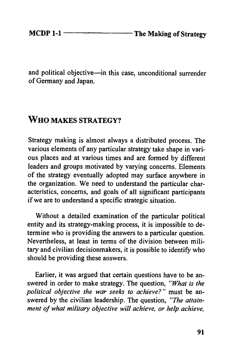and political objective—in this case, unconditional surrender of Germany and Japan.

# WHO MAKES STRATEGY?

Strategy making is almost always a distributed process. The various elements of any particular strategy take shape in various places and at various times and are formed by different leaders and groups motivated by varying concerns. Elements of the strategy eventually adopted may surface anywhere in the organization. We need to understand the particular characteristics, concerns, and goals of all significant participants if we are to understand a specific strategic situation.

Without a detailed examination of the particular political entity and its strategy-making process, it is impossible to determine who is providing the answers to a particular question. Nevertheless, at least in terms of the division between military and civilian decisionmakers, it is possible to identify who should be providing these answers.

Earlier, it was argued that certain questions have to be answered in order to make strategy. The question, "What is the political objective the war seeks to achieve?" must be answered by the civilian leadership. The question, "The attainment of what military objective will achieve, or help achieve,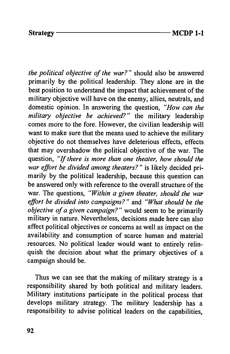the political objective of the war?" should also be answered primarily by the political leadership. They alone are in the best position to understand the impact that achievement of the military objective will have on the enemy, allies, neutrals, and domestic opinion. In answering the question, "How can the military objective be achieved?" the military leadership comes more to the fore. However, the civilian leadership will want to make sure that the means used to achieve the military objective do not themselves have deleterious effects, effects that may overshadow the political objective of the war. The question, "If there is more than one theater, how should the war effort be divided among theaters?" is likely decided primarily by the political leadership, because this question can be answered only with reference to the overall structure of the war. The questions, "Within a given theater, should the war effort be divided into campaigns?" and "What should be the objective of a given campaign?" would seem to be primarily military in nature. Nevertheless, decisions made here can also affect political objectives or concerns as well as impact on the availability and consumption of scarce human and material resources. No political leader would want to entirely relinquish the decision about what the primary objectives of a campaign should be.

Thus we can see that the making of military strategy is a responsibility shared by both political and military leaders. Military institutions participate in the political process that develops military strategy. The military leadership has a responsibility to advise political leaders on the capabilities,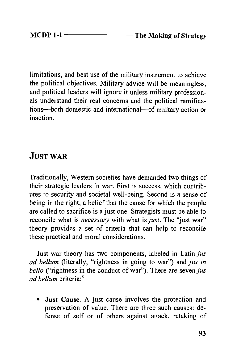limitations, and best use of the military instrument to achieve the political objectives. Military advice will be meaningless, and political leaders will ignore it unless military professionals understand their real concerns and the political ramifications—both domestic and international—of military action or inaction.

# JUST WAR

Traditionally, Western societies have demanded two things of their strategic leaders in war. First is success, which contributes to security and societal well-being. Second is a sense of being in the right, a belief that the cause for which the people are called to sacrifice is a just one. Strategists must be able to reconcile what is *necessary* with what is *just*. The "just war" theory provides a set of criteria that can help to reconcile these practical and moral considerations.

Just war theory has two components, labeled in Latin jus ad bellum (literally, "rightness in going to war") and jus in bello ("rightness in the conduct of war"). There are seven just ad bellum criteria:<sup>6</sup>

• Just Cause. A just cause involves the protection and preservation of value. There are three such causes: defense of self or of others against attack, retaking of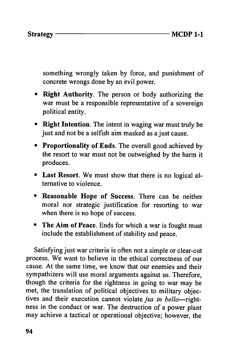something wrongly taken by force, and punishment of concrete wrongs done by an evil power.

- Right Authority. The person or body authorizing the war must be a responsible representative of a sovereign political entity.
- Right Intention. The intent in waging war must truly be just and not be a selfish aim masked as a just cause.
- Proportionality of Ends. The overall good achieved by the resort to war must not be outweighed by the harm it produces.
- Last Resort. We must show that there is no logical alternative to violence.
- Reasonable Hope of Success. There can be neither moral nor strategic justification for resorting to war when there is no hope of success.
- The Aim of Peace. Ends for which a war is fought must include the establishment of stability and peace.

Satisfying just war criteria is often not a simple or clear-cut process. We want to believe in the ethical correctness of our cause. At the same time, we know that our enemies and their sympathizers will use moral arguments against us. Therefore, though the criteria for the rightness in going to war may be met, the translation of political objectives to military objectives and their execution cannot violate jus in bello-rightness in the conduct or war. The destruction of a power plant may achieve a tactical or operational objective; however, the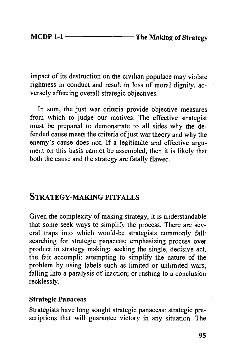impact of its destruction on the civilian populace may violate rightness in conduct and result in loss of moral dignity, adversely affecting overall strategic objectives.

In sum, the just war criteria provide objective measures from which to judge our motives. The effective strategist must be prepared to demonstrate to all sides why the defended cause meets the criteria of just war theory and why the enemy's cause does not. If a legitimate and effective argument on this basis cannot be assembled, then it is likely that both the cause and the strategy are fatally flawed.

# STRATEGY-MAKING PITFALLS

Given the complexity of making strategy, it is understandable that some seek ways to simplify the process. There are several traps into which would-be strategists commonly fall: searching for strategic panaceas; emphasizing process over product in strategy making; seeking the single, decisive act, the fait accompli; attempting to simplify the nature of the problem by using labels such as limited or unlimited wars; falling into a paralysis of inaction; or rushing to a conclusion recklessly.

#### Strategic Panaceas

Strategists have long sought strategic panaceas: strategic prescriptions that will guarantee victory in any situation. The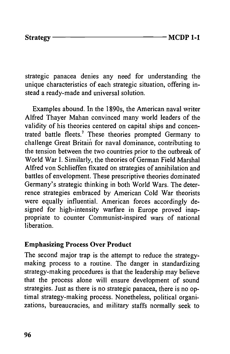strategic panacea denies any need for understanding the unique characteristics of each strategic situation, offering instead a ready-made and universal solution.

Examples abound. In the 1890s, the American naval writer Alfred Thayer Mahan convinced many world leaders of the validity of his theories centered on capital ships and concentrated battle fleets.<sup>7</sup> These theories prompted Germany to challenge Great Britaih for naval dominance, contributing to the tension between the two countries prior to the outbreak of World War I. Similarly, the theories of German Field Marshal Alfred von Schlieffen fixated on strategies of annihilation and battles of envelopment. These prescriptive theories dominated Germany's strategic thinking in both World Wars. The deterrence strategies embraced by American Cold War theorists were equally influential. American forces accordingly designed for high-intensity warfare in Europe proved inappropriate to counter Communist-inspired wars of national liberation.

#### Emphasizing Process Over Product

The second major trap is the attempt to reduce the strategymaking process to a routine. The danger in standardizing strategy-making procedures is that the leadership may believe that the process alone will ensure development of sound strategies. Just as there is no strategic panacea, there is no optimal strategy-making process. Nonetheless, political organizations, bureaucracies, and military staffs normally seek to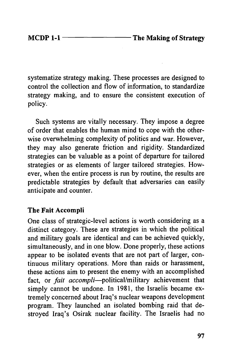systematize strategy making. These processes are designed to control the collection and flow of information, to standardize strategy making, and to ensure the consistent execution of policy.

Such systems are vitally necessary. They impose a degree of order that enables the human mind to cope with the otherwise overwhelming complexity of politics and war. However, they may also generate friction and rigidity. Standardized strategies can be valuable as a point of departure for tailored strategies or as elements of larger tailored strategies. However, when the entire process is run by routine, the results are predictable strategies by default that adversaries can easily anticipate and counter.

#### The Fait Accompli

One class of strategic-level actions is worth considering as a distinct category. These are strategies in which the political and military goals are identical and can be achieved quickly, simultaneously, and in one blow. Done properly, these actions appear to be isolated events that are not part of larger, continuous military operations. More than raids or harassment, these actions aim to present the enemy with an accomplished fact, or *fait accompli*-political/military achievement that simply cannot be undone. In 1981, the Israelis became extremely concerned about Iraq's nuclear weapons development program. They launched an isolated bombing raid that destroyed Iraq's Osirak nuclear facility. The Israelis had no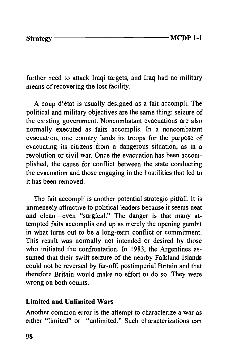further need to attack Iraqi targets, and Iraq had no military means of recovering the lost facility.

A coup d'etat is usually designed as a fait accompli. The political and military objectives are the same thing: seizure of the existing government. Noncombatant evacuations are also normally executed as faits accomplis. In a noncombatant evacuation, one country lands its troops for the purpose of evacuating its citizens from a dangerous situation, as in a revolution or civil war. Once the evacuation has been accomplished, the cause for conflict between the state conducting the evacuation and those engaging in the hostilities that led to it has been removed.

The fait accompli is another potential strategic pitfall. It is immensely attractive to political leaders because it seems neat and clean—even "surgical." The danger is that many attempted faits accomplis end up as merely the opening gambit in what turns out to be a long-term conflict or commitment. This result was normally not intended or desired by those who initiated the confrontation. In 1983, the Argentines assumed that their swift seizure of the nearby Falkland Islands could not be reversed by far-off, postimperial Britain and that therefore Britain would make no effort to do so. They were wrong on both counts.

#### Limited and Unlimited Wars

Another common error is the attempt to characterize a war as either "limited" or "unlimited." Such characterizations can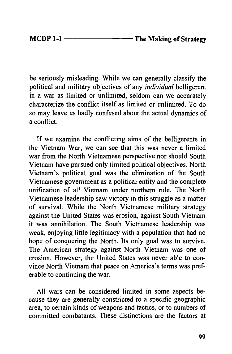be seriously misleading. While we can generally classify the political and military objectives of any *individual* belligerent in a war as limited or unlimited, seldom can we accurately characterize the conflict itself as limited or unlimited. To do so may leave us badly confused about the actual dynamics of a conflict.

If we examine the conflicting aims of the belligerents in the Vietnam War, we can see that this was never a limited war from the North Vietnamese perspective nor should South Vietnam have pursued only limited political objectives. North Vietnam's political goal was the elimination of the South Vietnamese government as a political entity and the complete unification of all Vietnam under northern rule. The North Vietnamese leadership saw victory in this struggle as a matter of survival. While the North Vietnamese military strategy against the United States was erosion, against South Vietnam it was annihilation. The South Vietnamese leadership was weak, enjoying little legitimacy with a population that had no hope of conquering the North. Its only goal was to survive. The American strategy against North Vietnam was one of erosion. However, the United States was never able to convince North Vietnam that peace on America's terms was preferable to continuing the war.

All wars can be considered limited in some aspects because they are generally constricted to a specific geographic area, to certain kinds of weapons and tactics, or to numbers of committed combatants. These distinctions are the factors at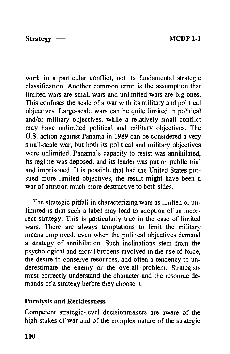work in a particular conflict, not its fundamental strategic classification. Another common error is the assumption that limited wars are small wars and unlimited wars are big ones. This confuses the scale of a war with its military and political objectives. Large-scale wars can be quite limited in political and/or military objectives, while a relatively small conflict may have unlimited political and military objectives. The U.S. action against Panama in 1989 can be considered a very small-scale war, but both its political and military objectives were unlimited. Panama's capacity to resist was annihilated, its regime was deposed, and its leader was put on public trial and imprisoned. It is possible that had the United States pursued more limited objectives, the result might have been a war of attrition much more destructive to both sides.

The strategic pitfall in characterizing wars as limited or unlimited is that such a label may lead to adoption of an incorrect strategy. This is particularly true in the case of limited wars. There are always temptations to limit the military means employed, even when the political objectives demand a strategy of annihilation. Such inclinations stem from the psychological and moral burdens involved in the use of force, the desire to conserve resources, and often a tendency to underestimate the enemy or the overall problem. Strategists must correctly understand the character and the resource demands of a strategy before they choose it.

#### Paralysis and Recklessness

Competent strategic-level decisionmakers are aware of the high stakes of war and of the complex nature of the strategic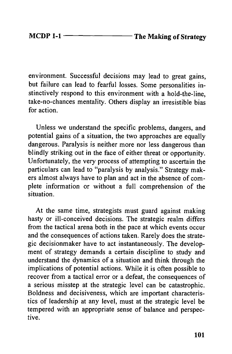environment. Successful decisions may lead to great gains, but failure can lead to fearful losses. Some personalities instinctively respond to this environment with a hold-the-line, take-no-chances mentality. Others display an irresistible bias for action.

Unless we understand the specific problems, dangers, and potential gains of a situation, the two approaches are equally dangerous. Paralysis is neither more nor less dangerous than blindly striking out in the face of either threat or opportunity. Unfortunately, the very process of attempting to ascertain the particulars can lead to "paralysis by analysis." Strategy makers almost always have to plan and act in the absence of complete information or without a full comprehension of the situation.

At the same time, strategists must guard against making hasty or ill-conceived decisions. The strategic realm differs from the tactical arena both in the pace at which events occur and the consequences of actions taken. Rarely does the strategic decisionmaker have to act instantaneously. The development of strategy demands a certain discipline to study and understand the dynamics of a situation and think through the implications of potential actions. While it is often possible to recover from a tactical error or a defeat, the consequences of a serious misstep at the strategic level can be catastrophic. Boldness and decisiveness, which are important characteristics of leadership at any level, must at the strategic level be tempered with an appropriate sense of balance and perspective.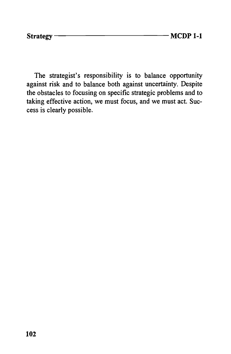The strategist's responsibility is to balance opportunity against risk and to balance both against uncertainty. Despite the obstacles to focusing on specific strategic problems and to taking effective action, we must focus, and we must act. Success is clearly possible.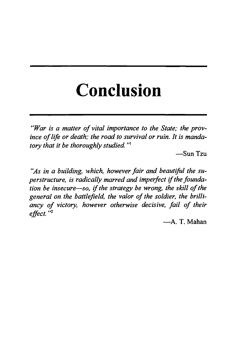# Conclusion

"War is a matter of vital importance to the State; the province of life or death; the road to survival or ruin. It is mandatory that it be thoroughly studied." $\mathbf{r}$ 

—Sun Tzu

"As in a building, which, however fair and beautiful the superstructure, is radically marred and imperfect if the foundation be insecure—so, if the strategy be wrong, the skill of the general on the battlefield, the valor of the soldier, the brilliancy of victory, however otherwise decisive, fail of their effect. "2

—A. T. Mahan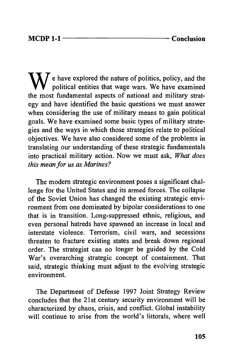We have explored the nature of politics, policy, and the political entities that wage wars. We have examined the most fundamental aspects of national and military strategy and have identified the basic questions we must answer when considering the use of military means to gain political goals. We have examined some basic types of military strategies and the ways in which those strategies relate to political objectives. We have also considered some of the problems in translating our understanding of these strategic fundamentals into practical military action. Now we must ask, What does this mean for us as Marines?

The modern strategic environment poses a significant challenge for the United States and its armed forces. The collapse of the Soviet Union has changed the existing strategic environment from one dominated by bipolar considerations to one that is in transition. Long-suppressed ethnic, religious, and even personal hatreds have spawned an increase in local and interstate violence. Terrorism, civil wars, and secessions threaten to fracture existing states and break down regional order. The strategist can no longer be guided by the Cold War's overarching strategic concept of containment. That said, strategic thinking must adjust to the evolving strategic environment.

The Department of Defense 1997 Joint Strategy Review concludes that the 21St century security environment will be characterized by chaos, crisis, and conflict. Global instability will continue to arise from the world's littorals, where well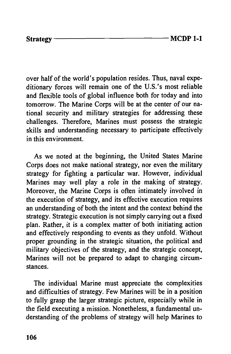over half of the world's population resides. Thus, naval expeditionary forces will remain one of the U.S.'s most reliable and flexible tools of global influence both for today and into tomorrow. The Marine Corps will be at the center of our national security and military strategies for addressing these challenges. Therefore, Marines must possess the strategic skills and understanding necessary to participate effectively in this environment.

As we noted at the beginning, the United States Marine Corps does not make national strategy, nor even the military strategy for fighting a particular war. However, individual Marines may well play a role in the making of strategy. Moreover, the Marine Corps is often intimately involved in the execution of strategy, and its effective execution requires an understanding of both the intent and the context behind the strategy. Strategic execution is not simply carrying out a fixed plan. Rather, it is a complex matter of both initiating action and effectively responding to events as they unfold. Without proper grounding in the strategic situation, the political and military objectives of the strategy, and the strategic concept, Marines will not be prepared to adapt to changing circumstances.

The individual Marine must appreciate the complexities and difficulties of strategy. Few Marines will be in a position to fully grasp the larger strategic picture, especially while in the field executing a mission. Nonetheless, a fundamental understanding of the problems of strategy will help Marines to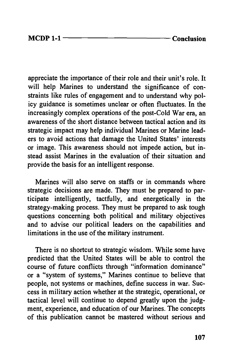appreciate the importance of their role and their unit's role. It will help Marines to understand the significance of constraints like rules of engagement and to understand why policy guidance is sometimes unclear or often fluctuates. In the increasingly complex operations of the post-Cold War era, an awareness of the short distance between tactical action and its strategic impact may help individual Marines or Marine leaders to avoid actions that damage the United States' interests or image. This awareness should not impede action, but instead assist Marines in the evaluation of their situation and provide the basis for an intelligent response.

Marines will also serve on staffs or in commands where strategic decisions are made. They must be prepared to participate intelligently, tactfully, and energetically in the strategy-making process. They must be prepared to ask tough questions concerning both political and military objectives and to advise our political leaders on the capabilities and limitations in the use of the military instrument.

There is no shortcut to strategic wisdom. While some have predicted that the United States will be able to control the course of future conflicts through "information dominance" or a "system of systems," Marines continue to believe that people, not systems or machines, define success in war. Success in military action whether at the strategic, operational, or tactical level will continue to depend greatly upon the judgment, experience, and education of our Marines. The concepts of this publication cannot be mastered without serious and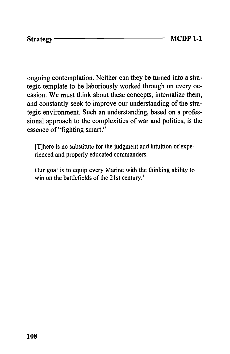ongoing contemplation. Neither can they be turned into a strategic template to be laboriously worked through on every occasion. We must think about these concepts, internalize them, and constantly seek to improve our understanding of the strategic environment. Such an understanding, based on a professional approach to the complexities of war and politics, is the essence of "fighting smart."

[T]here is no substitute for the judgment and intuition of experienced and properly educated commanders.

Our goal is to equip every Marine with the thinking ability to win on the battlefields of the 21st century.<sup>3</sup>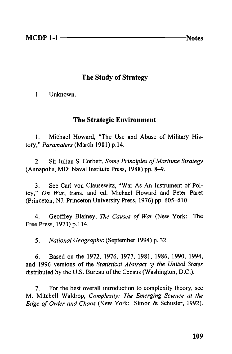MCDP 1-1

Notes<sup>-</sup>

## The Study of Strategy

1. Unknown.

#### The Strategic Environment

1. Michael Howard, "The Use and Abuse of Military History," Paramaters (March 1981) p.14.

2. Sir Julian S. Corbett, Some Principles of Maritime Strategy (Annapolis, MD: Naval Institute Press, 1988) pp. 8—9.

3. See Carl von Clausewitz, "War As An Instrument of Policy," On War, trans. and ed. Michael Howard and Peter Paret (Princeton, NJ: Princeton University Press, 1976) pp. 605—610.

4. Geoffrey Blainey, The Causes of War (New York: The Free Press, 1973) p.1 14.

5. National Geographic (September 1994) p. 32.

6. Based on the 1972, 1976, 1977, 1981, 1986, 1990, 1994, and 1996 versions of the Statistical Abstract of the United States distributed by the U.S. Bureau of the Census (Washington, D.C.).

7. For the best overall introduction to complexity theory, see M. Mitchell Waldrop, Complexity: The Emerging Science at the Edge of Order and Chaos (New York: Simon & Schuster, 1992).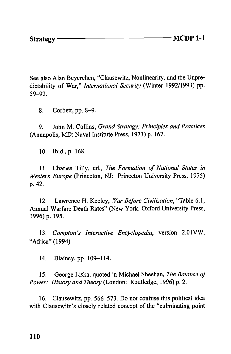See also Alan Beyerchen, "Clausewitz, Nonlinearity, and the Unpredictability of War," International Security (Winter 1992/1993) pp. 59—92.

8. Corbett, pp. 8–9.

9. John M. Collins, Grand Strategy: Principles and Practices (Annapolis, MD: Naval Institute Press, 1973) p. 167.

10. Ibid.,p. 168.

11. Charles Tilly, ed., The Formation of National States in Western Europe (Princeton, NJ: Princeton University Press, 1975) p. 42.

12. Lawrence H. Keeley, War Before Civilization, "Table 6.1, Annual Warfare Death Rates" (New York: Oxford University Press, 1996) p. 195.

13. Compton's Interactive Encyclopedia, version 2.01VW, "Africa" (1994).

14. Blainey,pp. 109—1 14.

15. George Liska, quoted in Michael Sheehan, The Balance of Power: History and Theory (London: Routledge, 1996) p. 2.

16. Clausewitz, pp. 566—573. Do not confuse this political idea with Clausewitz's closely related concept of the "culminating point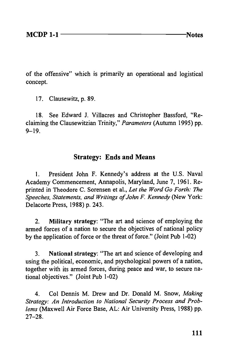Notes<sup>-</sup>

of the offensive" which is primarily an operational and logistical concept.

17. Clausewitz, p. 89.

18. See Edward J. Villacres and Christopher Bassford, "Reclaiming the Clausewitzian Trinity," Parameters (Autumn 1995) pp. 9—19.

### Strategy: Ends and Means

1. President John F. Kennedy's address at the U.S. Naval Academy Commencement, Annapolis, Maryland, June 7, 1961. Reprinted in Theodore C. Sorensen et al., Let the Word Go Forth: The Speeches, Statements, and Writings of John F. Kennedy (New York: Delacorte Press, 1988) p. 243.

2. Military strategy: "The art and science of employing the armed forces of a nation to secure the objectives of national policy by the application of force or the threat of force." (Joint Pub 1-02)

3. National strategy: "The art and science of developing and using the political, economic, and psychological powers of a nation, together with its armed forces, during peace and war, to secure national objectives." (Joint Pub 1-02)

4. Col Dennis M. Drew and Dr. Donald M. Snow, Making Strategy. An Introduction to National Security Process and Problems (Maxwell Air Force Base, AL: Air University Press, 1988) pp.  $27 - 28$ .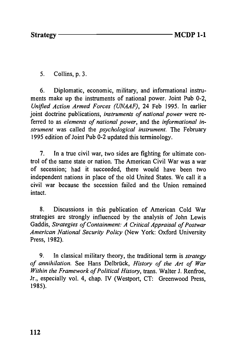5. Collins, p. 3.

6. Diplomatic, economic, military, and informational instruments make up the instruments of national power. Joint Pub 0-2, Unified Action Armed Forces (UNAAF), 24 Feb 1995. In earlier joint doctrine publications, instruments of national power were referred to as elements of national power, and the informational instrument was called the psychological instrument. The February 1995 edition of Joint Pub 0-2 updated this terminology.

7. In a true civil war, two sides are fighting for ultimate control of the same state or nation. The American Civil War was a war of secession; had it succeeded, there would have been two independent nations in place of the old United States. We call it a civil war because the secession failed and the Union remained intact.

8. Discussions in this publication of American Cold War strategies are strongly influenced by the analysis of John Lewis Gaddis, Strategies of Containment: A Critical Appraisal of Postwar American National Security Policy (New York: Oxford University Press, 1982).

9. In classical military theory, the traditional term is *strategy* of annihilation. See Hans Delbrück, History of the Art of War Within the Framework of Political History, trans. Walter J. Renfroe, Jr., especially vol. 4, chap. IV (Westport, CT: Greenwood Press, 1985).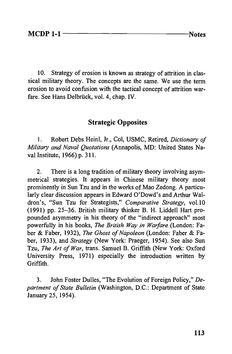10. Strategy of erosion is known as strategy of attrition in classical military theory. The concepts are the same. We use the term erosion to avoid confusion with the tactical concept of attrition warfare. See Hans Delbrück, vol. 4, chap. IV.

## Strategic Opposites

1. Robert Debs Heinl, Jr., Col, USMC, Retired, Dictionary of Military and Naval Quotations (Annapolis, MD: United States Naval Institute, 1966) p. 311.

2. There is a long tradition of military theory involving asymmetrical strategies. It appears in Chinese military theory most prominently in Sun Tzu and in the works of Mao Zedong. A particularly clear discussion appears in Edward O'Dowd's and Arthur Waldron's, "Sun Tzu for Strategists," Comparative Strategy, vol.10 (1991) pp. 25—36. British military thinker B. H. Liddell Hart propounded asymmetry in his theory of the "indirect approach" most powerfully in his books, The British Way in Warfare (London: Faber & Faber, 1932), The Ghost of Napoleon (London: Faber & Faber, 1933), and Strategy (New York: Praeger, 1954). See also Sun Tzu, The Art of War, trans. Samuel B. Griffith (New York: Oxford University Press, 1971) especially the introduction written by Griffith.

3. John Foster Dulles, "The Evolution of Foreign Policy," Department of State Bulletin (Washington, D.C.: Department of State January25, 1954).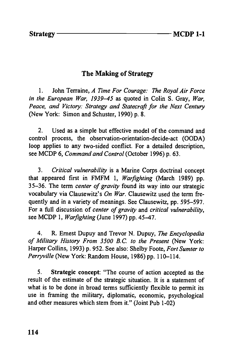$Strategy \longrightarrow MCDP 1-1$ 

## The Making of Strategy

1. John Terraine, A Time For Courage: The Royal Air Force in the European War, 1939–45 as quoted in Colin S. Gray, War, Peace, and Victory. Strategy and Statecrafi for the Next Century (New York: Simon and Schuster, 1990) p. 8.

2. Used as a simple but effective model of the command and control process, the observation-orientation-decide-act (OODA) loop applies to any two-sided conflict. For a detailed description, see MCDP 6, *Command and Control* (October 1996) p. 63.

3. Critical vulnerability is a Marine Corps doctrinal concept that appeared first in FMFM 1, Warfighting (March 1989) pp. 35–36. The term center of gravity found its way into our strategic vocabulary via Clausewitz's On War. Clausewitz used the term frequently and in a variety of meanings. See Clausewitz, pp. 595—597. For a full discussion of center of gravity and critical vulnerability, see MCDP 1, Warfighting (June 1997) pp. 45—47.

4. R. Ernest Dupuy and Trevor N. Dupuy, The Encyclopedia of Military History From 3500 B.C. to the Present (New York: Harper Collins, 1993) p. 952. See also: Shelby Foote, Fort Sumter to Perryville (New York: Random House, 1986) pp. 110—114.

5. Strategic concept: "The course of action accepted as the result of the estimate of the strategic situation. It is a statement of what is to be done in broad terms sufficiently flexible to permit its use in framing the military, diplomatic, economic, psychological and other measures which stem from it." (Joint Pub 1-02)